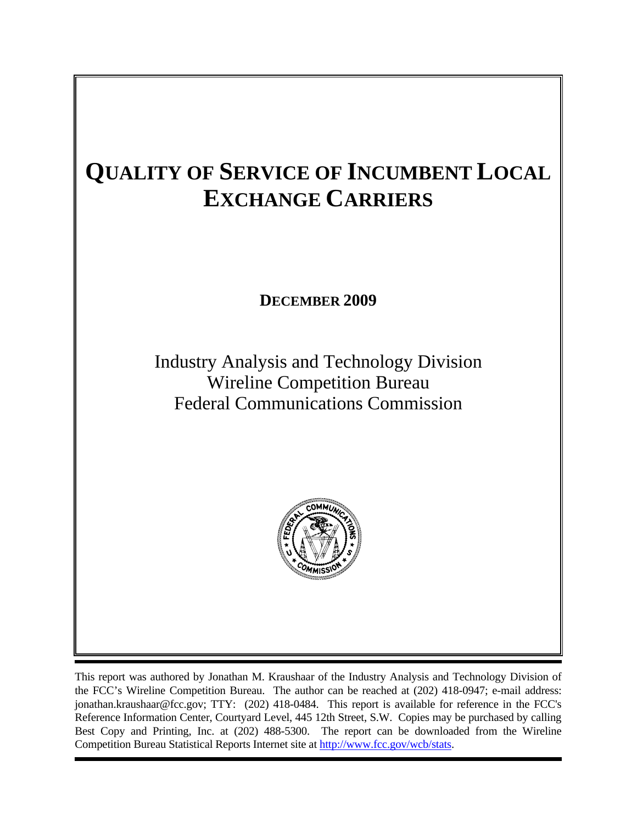# **QUALITY OF SERVICE OF INCUMBENT LOCAL EXCHANGE CARRIERS**

**DECEMBER 2009** 

Industry Analysis and Technology Division Wireline Competition Bureau Federal Communications Commission



This report was authored by Jonathan M. Kraushaar of the Industry Analysis and Technology Division of the FCC's Wireline Competition Bureau. The author can be reached at (202) 418-0947; e-mail address: jonathan.kraushaar@fcc.gov; TTY: (202) 418-0484. This report is available for reference in the FCC's Reference Information Center, Courtyard Level, 445 12th Street, S.W. Copies may be purchased by calling Best Copy and Printing, Inc. at (202) 488-5300. The report can be downloaded from the Wireline Competition Bureau Statistical Reports Internet site at http://www.fcc.gov/wcb/stats.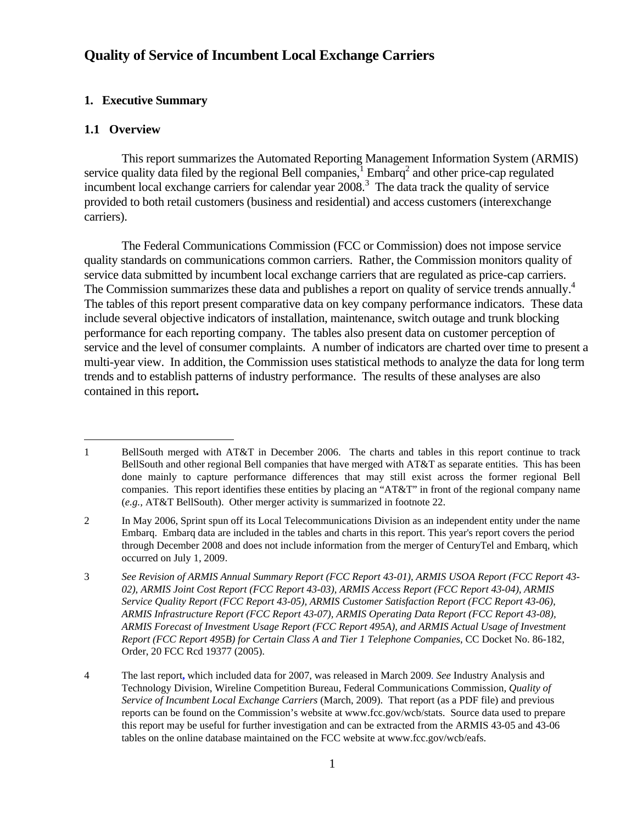## **Quality of Service of Incumbent Local Exchange Carriers**

## **1. Executive Summary**

### **1.1 Overview**

 $\overline{a}$ 

This report summarizes the Automated Reporting Management Information System (ARMIS) service quality data filed by the regional Bell companies,  $\frac{1}{2}$  Embarq<sup>2</sup> and other price-cap regulated incumbent local exchange carriers for calendar year 2008.<sup>3</sup> The data track the quality of service provided to both retail customers (business and residential) and access customers (interexchange carriers).

The Federal Communications Commission (FCC or Commission) does not impose service quality standards on communications common carriers. Rather, the Commission monitors quality of service data submitted by incumbent local exchange carriers that are regulated as price-cap carriers. The Commission summarizes these data and publishes a report on quality of service trends annually.<sup>4</sup> The tables of this report present comparative data on key company performance indicators. These data include several objective indicators of installation, maintenance, switch outage and trunk blocking performance for each reporting company. The tables also present data on customer perception of service and the level of consumer complaints. A number of indicators are charted over time to present a multi-year view. In addition, the Commission uses statistical methods to analyze the data for long term trends and to establish patterns of industry performance. The results of these analyses are also contained in this report**.**

<sup>1</sup> BellSouth merged with AT&T in December 2006. The charts and tables in this report continue to track BellSouth and other regional Bell companies that have merged with AT&T as separate entities. This has been done mainly to capture performance differences that may still exist across the former regional Bell companies. This report identifies these entities by placing an "AT&T" in front of the regional company name (*e.g.,* AT&T BellSouth). Other merger activity is summarized in footnote 22.

<sup>2</sup> In May 2006, Sprint spun off its Local Telecommunications Division as an independent entity under the name Embarq. Embarq data are included in the tables and charts in this report. This year's report covers the period through December 2008 and does not include information from the merger of CenturyTel and Embarq, which occurred on July 1, 2009.

<sup>3</sup> *See Revision of ARMIS Annual Summary Report (FCC Report 43-01), ARMIS USOA Report (FCC Report 43- 02), ARMIS Joint Cost Report (FCC Report 43-03), ARMIS Access Report (FCC Report 43-04), ARMIS Service Quality Report (FCC Report 43-05), ARMIS Customer Satisfaction Report (FCC Report 43-06), ARMIS Infrastructure Report (FCC Report 43-07), ARMIS Operating Data Report (FCC Report 43-08), ARMIS Forecast of Investment Usage Report (FCC Report 495A), and ARMIS Actual Usage of Investment Report (FCC Report 495B) for Certain Class A and Tier 1 Telephone Companies*, CC Docket No. 86-182, Order, 20 FCC Rcd 19377 (2005).

<sup>4</sup> The last report**,** which included data for 2007, was released in March 2009*. See* Industry Analysis and Technology Division, Wireline Competition Bureau, Federal Communications Commission*, Quality of Service of Incumbent Local Exchange Carriers* (March, 2009). That report (as a PDF file) and previous reports can be found on the Commission's website at www.fcc.gov/wcb/stats. Source data used to prepare this report may be useful for further investigation and can be extracted from the ARMIS 43-05 and 43-06 tables on the online database maintained on the FCC website at www.fcc.gov/wcb/eafs.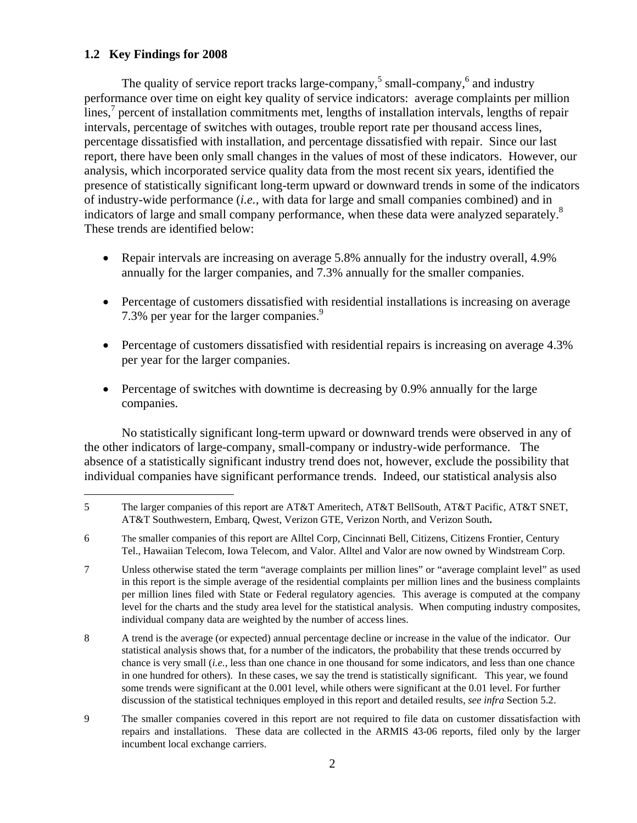## **1.2 Key Findings for 2008**

 $\overline{a}$ 

The quality of service report tracks large-company,  $5 \text{ small-company}$ ,  $6 \text{ and industry}$ performance over time on eight key quality of service indicators: average complaints per million lines,<sup>7</sup> percent of installation commitments met, lengths of installation intervals, lengths of repair intervals, percentage of switches with outages, trouble report rate per thousand access lines, percentage dissatisfied with installation, and percentage dissatisfied with repair. Since our last report, there have been only small changes in the values of most of these indicators. However, our analysis, which incorporated service quality data from the most recent six years, identified the presence of statistically significant long-term upward or downward trends in some of the indicators of industry-wide performance (*i.e.,* with data for large and small companies combined) and in indicators of large and small company performance, when these data were analyzed separately.<sup>8</sup> These trends are identified below:

- Repair intervals are increasing on average 5.8% annually for the industry overall, 4.9% annually for the larger companies, and 7.3% annually for the smaller companies.
- Percentage of customers dissatisfied with residential installations is increasing on average 7.3% per year for the larger companies.<sup>9</sup>
- Percentage of customers dissatisfied with residential repairs is increasing on average 4.3% per year for the larger companies.
- Percentage of switches with downtime is decreasing by 0.9% annually for the large companies.

No statistically significant long-term upward or downward trends were observed in any of the other indicators of large-company, small-company or industry-wide performance. The absence of a statistically significant industry trend does not, however, exclude the possibility that individual companies have significant performance trends. Indeed, our statistical analysis also

7 Unless otherwise stated the term "average complaints per million lines" or "average complaint level" as used in this report is the simple average of the residential complaints per million lines and the business complaints per million lines filed with State or Federal regulatory agencies. This average is computed at the company level for the charts and the study area level for the statistical analysis. When computing industry composites, individual company data are weighted by the number of access lines.

- 8 A trend is the average (or expected) annual percentage decline or increase in the value of the indicator. Our statistical analysis shows that, for a number of the indicators, the probability that these trends occurred by chance is very small (*i.e.*, less than one chance in one thousand for some indicators, and less than one chance in one hundred for others). In these cases, we say the trend is statistically significant. This year, we found some trends were significant at the 0.001 level, while others were significant at the 0.01 level. For further discussion of the statistical techniques employed in this report and detailed results, *see infra* Section 5.2.
- 9 The smaller companies covered in this report are not required to file data on customer dissatisfaction with repairs and installations. These data are collected in the ARMIS 43-06 reports, filed only by the larger incumbent local exchange carriers.

<sup>5</sup> The larger companies of this report are AT&T Ameritech, AT&T BellSouth, AT&T Pacific, AT&T SNET, AT&T Southwestern, Embarq, Qwest, Verizon GTE, Verizon North, and Verizon South**.**

<sup>6</sup> The smaller companies of this report are Alltel Corp, Cincinnati Bell, Citizens, Citizens Frontier, Century Tel., Hawaiian Telecom, Iowa Telecom, and Valor. Alltel and Valor are now owned by Windstream Corp.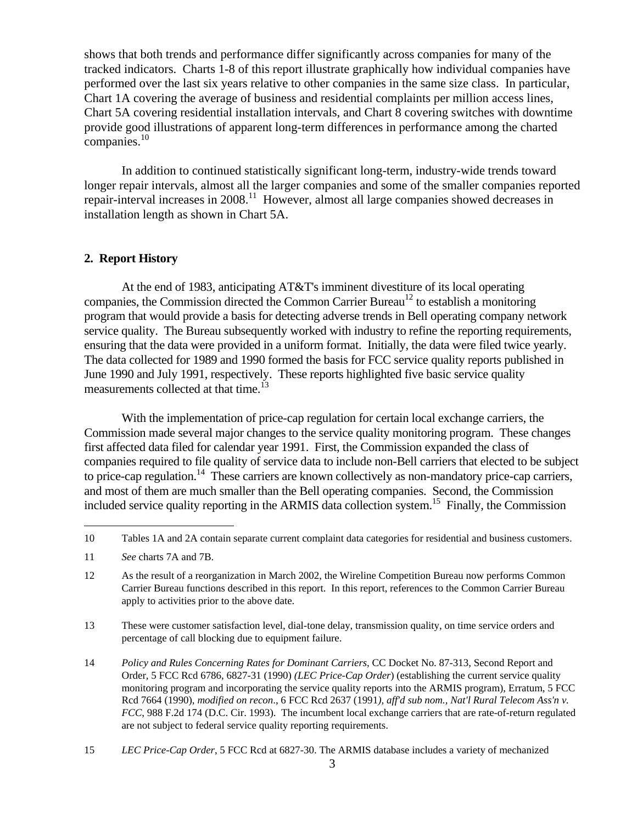shows that both trends and performance differ significantly across companies for many of the tracked indicators. Charts 1-8 of this report illustrate graphically how individual companies have performed over the last six years relative to other companies in the same size class. In particular, Chart 1A covering the average of business and residential complaints per million access lines, Chart 5A covering residential installation intervals, and Chart 8 covering switches with downtime provide good illustrations of apparent long-term differences in performance among the charted companies.<sup>10</sup>

In addition to continued statistically significant long-term, industry-wide trends toward longer repair intervals, almost all the larger companies and some of the smaller companies reported repair-interval increases in 2008.<sup>11</sup> However, almost all large companies showed decreases in installation length as shown in Chart 5A.

## **2. Report History**

 At the end of 1983, anticipating AT&T's imminent divestiture of its local operating companies, the Commission directed the Common Carrier Bureau<sup>12</sup> to establish a monitoring program that would provide a basis for detecting adverse trends in Bell operating company network service quality. The Bureau subsequently worked with industry to refine the reporting requirements, ensuring that the data were provided in a uniform format. Initially, the data were filed twice yearly. The data collected for 1989 and 1990 formed the basis for FCC service quality reports published in June 1990 and July 1991, respectively. These reports highlighted five basic service quality measurements collected at that time.<sup>13</sup>

 With the implementation of price-cap regulation for certain local exchange carriers, the Commission made several major changes to the service quality monitoring program. These changes first affected data filed for calendar year 1991. First, the Commission expanded the class of companies required to file quality of service data to include non-Bell carriers that elected to be subject to price-cap regulation.<sup>14</sup> These carriers are known collectively as non-mandatory price-cap carriers, and most of them are much smaller than the Bell operating companies. Second, the Commission included service quality reporting in the ARMIS data collection system.15 Finally, the Commission

 $\overline{a}$ 

13 These were customer satisfaction level, dial-tone delay, transmission quality, on time service orders and percentage of call blocking due to equipment failure.

14 *Policy and Rules Concerning Rates for Dominant Carriers*, CC Docket No. 87-313, Second Report and Order, 5 FCC Rcd 6786, 6827-31 (1990) *(LEC Price-Cap Order*) (establishing the current service quality monitoring program and incorporating the service quality reports into the ARMIS program), Erratum, 5 FCC Rcd 7664 (1990), *modified on recon*., 6 FCC Rcd 2637 (1991*), aff'd sub nom., Nat'l Rural Telecom Ass'n v. FCC*, 988 F.2d 174 (D.C. Cir. 1993). The incumbent local exchange carriers that are rate-of-return regulated are not subject to federal service quality reporting requirements.

<sup>10</sup> Tables 1A and 2A contain separate current complaint data categories for residential and business customers.

<sup>11</sup> *See* charts 7A and 7B.

<sup>12</sup> As the result of a reorganization in March 2002, the Wireline Competition Bureau now performs Common Carrier Bureau functions described in this report. In this report, references to the Common Carrier Bureau apply to activities prior to the above date.

<sup>15</sup> *LEC Price-Cap Order*, 5 FCC Rcd at 6827-30. The ARMIS database includes a variety of mechanized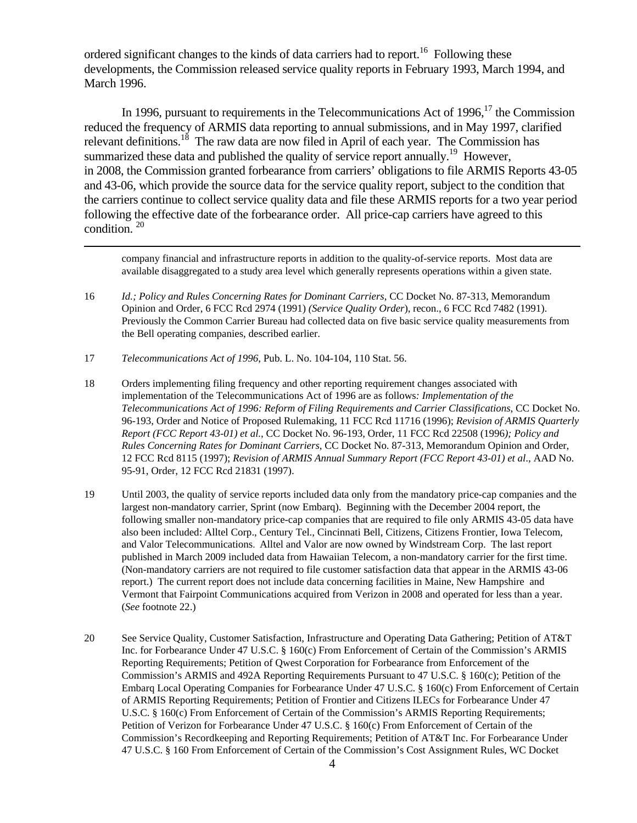ordered significant changes to the kinds of data carriers had to report.<sup>16</sup> Following these developments, the Commission released service quality reports in February 1993, March 1994, and March 1996.

In 1996, pursuant to requirements in the Telecommunications Act of 1996,<sup>17</sup> the Commission reduced the frequency of ARMIS data reporting to annual submissions, and in May 1997, clarified relevant definitions.<sup>18</sup> The raw data are now filed in April of each year. The Commission has summarized these data and published the quality of service report annually.<sup>19</sup> However, in 2008, the Commission granted forbearance from carriers' obligations to file ARMIS Reports 43-05 and 43-06, which provide the source data for the service quality report, subject to the condition that the carriers continue to collect service quality data and file these ARMIS reports for a two year period following the effective date of the forbearance order. All price-cap carriers have agreed to this condition. 20

company financial and infrastructure reports in addition to the quality-of-service reports. Most data are available disaggregated to a study area level which generally represents operations within a given state.

- 16 *Id.; Policy and Rules Concerning Rates for Dominant Carriers*, CC Docket No. 87-313, Memorandum Opinion and Order, 6 FCC Rcd 2974 (1991) *(Service Quality Order*), recon., 6 FCC Rcd 7482 (1991). Previously the Common Carrier Bureau had collected data on five basic service quality measurements from the Bell operating companies, described earlier.
- 17 *Telecommunications Act of 1996*, Pub. L. No. 104-104, 110 Stat. 56.

 $\overline{a}$ 

- 18 Orders implementing filing frequency and other reporting requirement changes associated with implementation of the Telecommunications Act of 1996 are as follows*: Implementation of the Telecommunications Act of 1996: Reform of Filing Requirements and Carrier Classifications*, CC Docket No. 96-193, Order and Notice of Proposed Rulemaking, 11 FCC Rcd 11716 (1996); *Revision of ARMIS Quarterly Report (FCC Report 43-01) et al.*, CC Docket No. 96-193, Order, 11 FCC Rcd 22508 (1996*); Policy and Rules Concerning Rates for Dominant Carriers*, CC Docket No. 87-313, Memorandum Opinion and Order, 12 FCC Rcd 8115 (1997); *Revision of ARMIS Annual Summary Report (FCC Report 43-01) et al*., AAD No. 95-91, Order, 12 FCC Rcd 21831 (1997).
- 19 Until 2003, the quality of service reports included data only from the mandatory price-cap companies and the largest non-mandatory carrier, Sprint (now Embarq). Beginning with the December 2004 report, the following smaller non-mandatory price-cap companies that are required to file only ARMIS 43-05 data have also been included: Alltel Corp., Century Tel., Cincinnati Bell, Citizens, Citizens Frontier, Iowa Telecom, and Valor Telecommunications. Alltel and Valor are now owned by Windstream Corp. The last report published in March 2009 included data from Hawaiian Telecom, a non-mandatory carrier for the first time. (Non-mandatory carriers are not required to file customer satisfaction data that appear in the ARMIS 43-06 report.) The current report does not include data concerning facilities in Maine, New Hampshire and Vermont that Fairpoint Communications acquired from Verizon in 2008 and operated for less than a year. (*See* footnote 22.)
- 20 See Service Quality, Customer Satisfaction, Infrastructure and Operating Data Gathering; Petition of AT&T Inc. for Forbearance Under 47 U.S.C. § 160(c) From Enforcement of Certain of the Commission's ARMIS Reporting Requirements; Petition of Qwest Corporation for Forbearance from Enforcement of the Commission's ARMIS and 492A Reporting Requirements Pursuant to 47 U.S.C. § 160(c); Petition of the Embarq Local Operating Companies for Forbearance Under 47 U.S.C. § 160(c) From Enforcement of Certain of ARMIS Reporting Requirements; Petition of Frontier and Citizens ILECs for Forbearance Under 47 U.S.C. § 160(c) From Enforcement of Certain of the Commission's ARMIS Reporting Requirements; Petition of Verizon for Forbearance Under 47 U.S.C. § 160(c) From Enforcement of Certain of the Commission's Recordkeeping and Reporting Requirements; Petition of AT&T Inc. For Forbearance Under 47 U.S.C. § 160 From Enforcement of Certain of the Commission's Cost Assignment Rules, WC Docket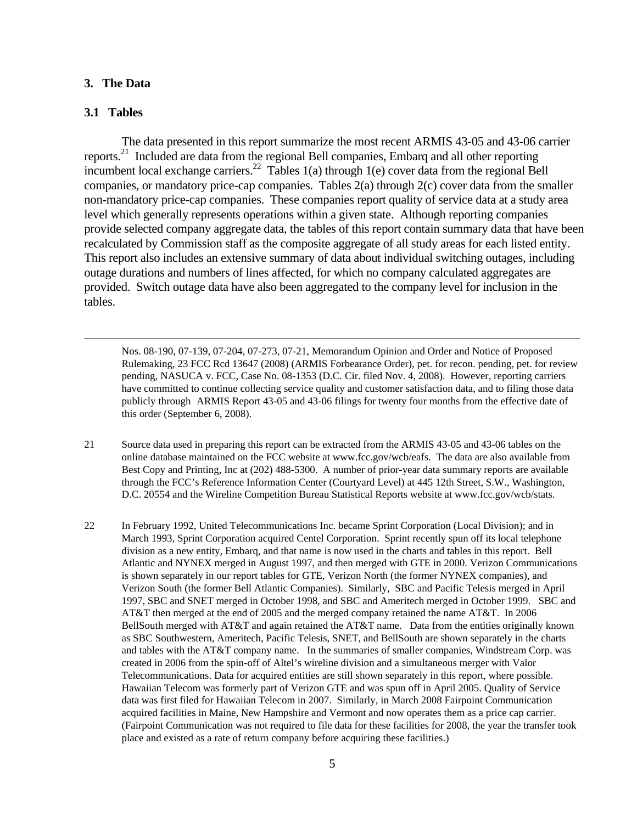#### **3. The Data**

#### **3.1 Tables**

 $\overline{a}$ 

 The data presented in this report summarize the most recent ARMIS 43-05 and 43-06 carrier reports.21 Included are data from the regional Bell companies, Embarq and all other reporting incumbent local exchange carriers.<sup>22</sup> Tables 1(a) through 1(e) cover data from the regional Bell companies, or mandatory price-cap companies. Tables 2(a) through 2(c) cover data from the smaller non-mandatory price-cap companies. These companies report quality of service data at a study area level which generally represents operations within a given state. Although reporting companies provide selected company aggregate data, the tables of this report contain summary data that have been recalculated by Commission staff as the composite aggregate of all study areas for each listed entity. This report also includes an extensive summary of data about individual switching outages, including outage durations and numbers of lines affected, for which no company calculated aggregates are provided. Switch outage data have also been aggregated to the company level for inclusion in the tables.

 Nos. 08-190, 07-139, 07-204, 07-273, 07-21, Memorandum Opinion and Order and Notice of Proposed Rulemaking, 23 FCC Rcd 13647 (2008) (ARMIS Forbearance Order), pet. for recon. pending, pet. for review pending, NASUCA v. FCC, Case No. 08-1353 (D.C. Cir. filed Nov. 4, 2008). However, reporting carriers have committed to continue collecting service quality and customer satisfaction data, and to filing those data publicly through ARMIS Report 43-05 and 43-06 filings for twenty four months from the effective date of this order (September 6, 2008).

- 21 Source data used in preparing this report can be extracted from the ARMIS 43-05 and 43-06 tables on the online database maintained on the FCC website at www.fcc.gov/wcb/eafs. The data are also available from Best Copy and Printing, Inc at (202) 488-5300. A number of prior-year data summary reports are available through the FCC's Reference Information Center (Courtyard Level) at 445 12th Street, S.W., Washington, D.C. 20554 and the Wireline Competition Bureau Statistical Reports website at www.fcc.gov/wcb/stats.
- 22 In February 1992, United Telecommunications Inc. became Sprint Corporation (Local Division); and in March 1993, Sprint Corporation acquired Centel Corporation. Sprint recently spun off its local telephone division as a new entity, Embarq, and that name is now used in the charts and tables in this report. Bell Atlantic and NYNEX merged in August 1997, and then merged with GTE in 2000. Verizon Communications is shown separately in our report tables for GTE, Verizon North (the former NYNEX companies), and Verizon South (the former Bell Atlantic Companies). Similarly, SBC and Pacific Telesis merged in April 1997, SBC and SNET merged in October 1998, and SBC and Ameritech merged in October 1999. SBC and AT&T then merged at the end of 2005 and the merged company retained the name AT&T. In 2006 BellSouth merged with AT&T and again retained the AT&T name. Data from the entities originally known as SBC Southwestern, Ameritech, Pacific Telesis, SNET, and BellSouth are shown separately in the charts and tables with the AT&T company name. In the summaries of smaller companies, Windstream Corp. was created in 2006 from the spin-off of Altel's wireline division and a simultaneous merger with Valor Telecommunications. Data for acquired entities are still shown separately in this report, where possible. Hawaiian Telecom was formerly part of Verizon GTE and was spun off in April 2005. Quality of Service data was first filed for Hawaiian Telecom in 2007. Similarly, in March 2008 Fairpoint Communication acquired facilities in Maine, New Hampshire and Vermont and now operates them as a price cap carrier. (Fairpoint Communication was not required to file data for these facilities for 2008, the year the transfer took place and existed as a rate of return company before acquiring these facilities.)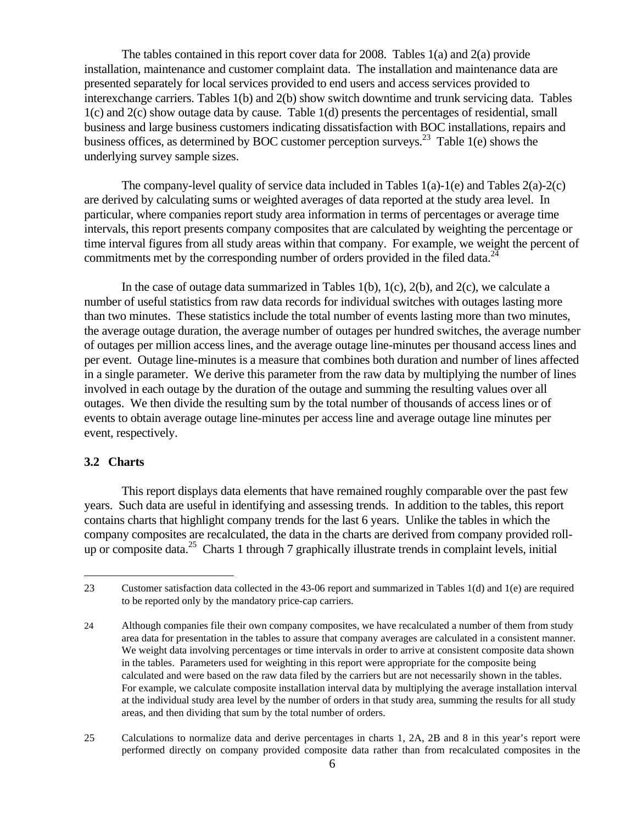The tables contained in this report cover data for 2008. Tables 1(a) and 2(a) provide installation, maintenance and customer complaint data. The installation and maintenance data are presented separately for local services provided to end users and access services provided to interexchange carriers. Tables 1(b) and 2(b) show switch downtime and trunk servicing data. Tables 1(c) and 2(c) show outage data by cause. Table 1(d) presents the percentages of residential, small business and large business customers indicating dissatisfaction with BOC installations, repairs and business offices, as determined by BOC customer perception surveys.<sup>23</sup> Table 1(e) shows the underlying survey sample sizes.

The company-level quality of service data included in Tables  $1(a)$ -1(e) and Tables  $2(a)$ -2(c) are derived by calculating sums or weighted averages of data reported at the study area level. In particular, where companies report study area information in terms of percentages or average time intervals, this report presents company composites that are calculated by weighting the percentage or time interval figures from all study areas within that company. For example, we weight the percent of commitments met by the corresponding number of orders provided in the filed data.<sup>24</sup>

In the case of outage data summarized in Tables  $1(b)$ ,  $1(c)$ ,  $2(b)$ , and  $2(c)$ , we calculate a number of useful statistics from raw data records for individual switches with outages lasting more than two minutes. These statistics include the total number of events lasting more than two minutes, the average outage duration, the average number of outages per hundred switches, the average number of outages per million access lines, and the average outage line-minutes per thousand access lines and per event. Outage line-minutes is a measure that combines both duration and number of lines affected in a single parameter. We derive this parameter from the raw data by multiplying the number of lines involved in each outage by the duration of the outage and summing the resulting values over all outages. We then divide the resulting sum by the total number of thousands of access lines or of events to obtain average outage line-minutes per access line and average outage line minutes per event, respectively.

## **3.2 Charts**

<u>.</u>

 This report displays data elements that have remained roughly comparable over the past few years. Such data are useful in identifying and assessing trends. In addition to the tables, this report contains charts that highlight company trends for the last 6 years. Unlike the tables in which the company composites are recalculated, the data in the charts are derived from company provided rollup or composite data.<sup>25</sup> Charts 1 through 7 graphically illustrate trends in complaint levels, initial

<sup>23</sup> Customer satisfaction data collected in the 43-06 report and summarized in Tables 1(d) and 1(e) are required to be reported only by the mandatory price-cap carriers.

<sup>24</sup> Although companies file their own company composites, we have recalculated a number of them from study area data for presentation in the tables to assure that company averages are calculated in a consistent manner. We weight data involving percentages or time intervals in order to arrive at consistent composite data shown in the tables. Parameters used for weighting in this report were appropriate for the composite being calculated and were based on the raw data filed by the carriers but are not necessarily shown in the tables. For example, we calculate composite installation interval data by multiplying the average installation interval at the individual study area level by the number of orders in that study area, summing the results for all study areas, and then dividing that sum by the total number of orders.

<sup>25</sup> Calculations to normalize data and derive percentages in charts 1, 2A, 2B and 8 in this year's report were performed directly on company provided composite data rather than from recalculated composites in the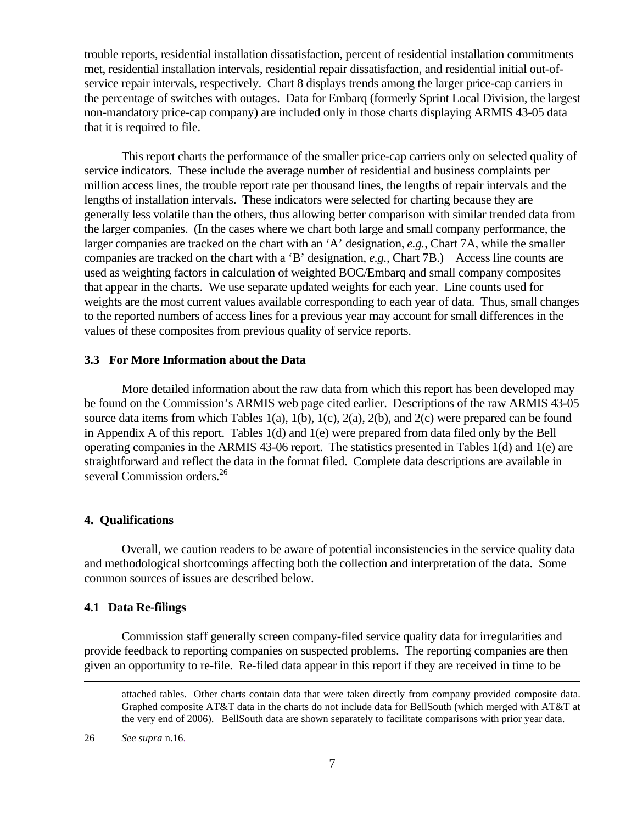trouble reports, residential installation dissatisfaction, percent of residential installation commitments met, residential installation intervals, residential repair dissatisfaction, and residential initial out-ofservice repair intervals, respectively. Chart 8 displays trends among the larger price-cap carriers in the percentage of switches with outages. Data for Embarq (formerly Sprint Local Division, the largest non-mandatory price-cap company) are included only in those charts displaying ARMIS 43-05 data that it is required to file.

This report charts the performance of the smaller price-cap carriers only on selected quality of service indicators. These include the average number of residential and business complaints per million access lines, the trouble report rate per thousand lines, the lengths of repair intervals and the lengths of installation intervals. These indicators were selected for charting because they are generally less volatile than the others, thus allowing better comparison with similar trended data from the larger companies. (In the cases where we chart both large and small company performance, the larger companies are tracked on the chart with an 'A' designation, *e.g.,* Chart 7A, while the smaller companies are tracked on the chart with a 'B' designation, *e.g.,* Chart 7B.)Access line counts are used as weighting factors in calculation of weighted BOC/Embarq and small company composites that appear in the charts. We use separate updated weights for each year. Line counts used for weights are the most current values available corresponding to each year of data. Thus, small changes to the reported numbers of access lines for a previous year may account for small differences in the values of these composites from previous quality of service reports.

#### **3.3 For More Information about the Data**

More detailed information about the raw data from which this report has been developed may be found on the Commission's ARMIS web page cited earlier. Descriptions of the raw ARMIS 43-05 source data items from which Tables 1(a), 1(b), 1(c), 2(a), 2(b), and 2(c) were prepared can be found in Appendix A of this report. Tables 1(d) and 1(e) were prepared from data filed only by the Bell operating companies in the ARMIS 43-06 report. The statistics presented in Tables 1(d) and 1(e) are straightforward and reflect the data in the format filed. Complete data descriptions are available in several Commission orders.<sup>26</sup>

#### **4. Qualifications**

 Overall, we caution readers to be aware of potential inconsistencies in the service quality data and methodological shortcomings affecting both the collection and interpretation of the data. Some common sources of issues are described below.

## **4.1 Data Re-filings**

 Commission staff generally screen company-filed service quality data for irregularities and provide feedback to reporting companies on suspected problems. The reporting companies are then given an opportunity to re-file. Re-filed data appear in this report if they are received in time to be

26 *See supra* n.16.

 $\overline{a}$ 

attached tables. Other charts contain data that were taken directly from company provided composite data. Graphed composite AT&T data in the charts do not include data for BellSouth (which merged with AT&T at the very end of 2006). BellSouth data are shown separately to facilitate comparisons with prior year data.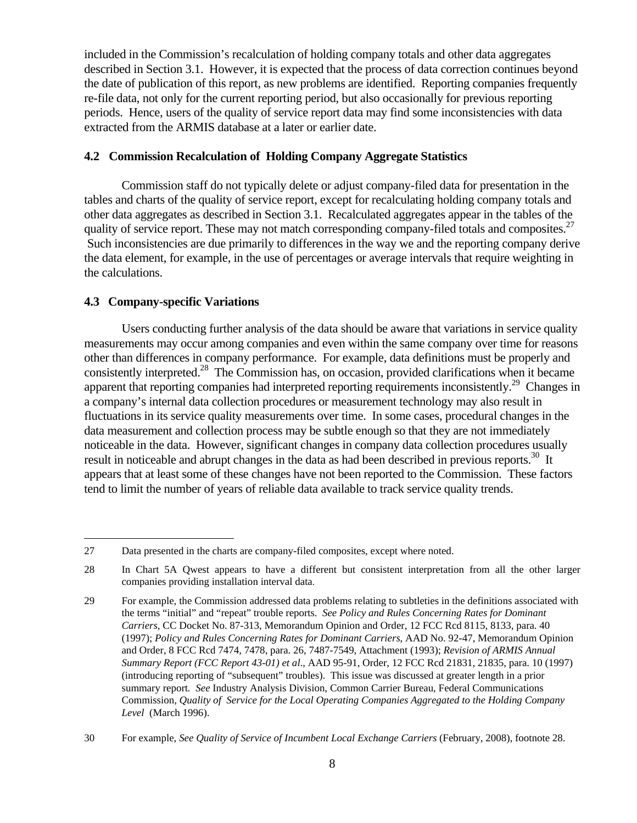included in the Commission's recalculation of holding company totals and other data aggregates described in Section 3.1. However, it is expected that the process of data correction continues beyond the date of publication of this report, as new problems are identified. Reporting companies frequently re-file data, not only for the current reporting period, but also occasionally for previous reporting periods. Hence, users of the quality of service report data may find some inconsistencies with data extracted from the ARMIS database at a later or earlier date.

## **4.2 Commission Recalculation of Holding Company Aggregate Statistics**

 Commission staff do not typically delete or adjust company-filed data for presentation in the tables and charts of the quality of service report, except for recalculating holding company totals and other data aggregates as described in Section 3.1. Recalculated aggregates appear in the tables of the quality of service report. These may not match corresponding company-filed totals and composites.<sup>27</sup> Such inconsistencies are due primarily to differences in the way we and the reporting company derive the data element, for example, in the use of percentages or average intervals that require weighting in the calculations.

## **4.3 Company-specific Variations**

 $\overline{a}$ 

Users conducting further analysis of the data should be aware that variations in service quality measurements may occur among companies and even within the same company over time for reasons other than differences in company performance. For example, data definitions must be properly and consistently interpreted.<sup>28</sup> The Commission has, on occasion, provided clarifications when it became apparent that reporting companies had interpreted reporting requirements inconsistently.<sup>29</sup> Changes in a company's internal data collection procedures or measurement technology may also result in fluctuations in its service quality measurements over time. In some cases, procedural changes in the data measurement and collection process may be subtle enough so that they are not immediately noticeable in the data. However, significant changes in company data collection procedures usually result in noticeable and abrupt changes in the data as had been described in previous reports.<sup>30</sup> It appears that at least some of these changes have not been reported to the Commission. These factors tend to limit the number of years of reliable data available to track service quality trends.

<sup>27</sup> Data presented in the charts are company-filed composites, except where noted.

<sup>28</sup> In Chart 5A Qwest appears to have a different but consistent interpretation from all the other larger companies providing installation interval data.

<sup>29</sup> For example, the Commission addressed data problems relating to subtleties in the definitions associated with the terms "initial" and "repeat" trouble reports. *See Policy and Rules Concerning Rates for Dominant Carriers,* CC Docket No. 87-313, Memorandum Opinion and Order, 12 FCC Rcd 8115, 8133, para. 40 (1997); *Policy and Rules Concerning Rates for Dominant Carriers*, AAD No. 92-47, Memorandum Opinion and Order, 8 FCC Rcd 7474, 7478, para. 26, 7487-7549, Attachment (1993); *Revision of ARMIS Annual Summary Report (FCC Report 43-01) et al*., AAD 95-91, Order, 12 FCC Rcd 21831, 21835, para. 10 (1997) (introducing reporting of "subsequent" troubles). This issue was discussed at greater length in a prior summary report*. See* Industry Analysis Division, Common Carrier Bureau, Federal Communications Commission*, Quality of Service for the Local Operating Companies Aggregated to the Holding Company Level* (March 1996).

<sup>30</sup> For example, *See Quality of Service of Incumbent Local Exchange Carriers* (February, 2008), footnote 28.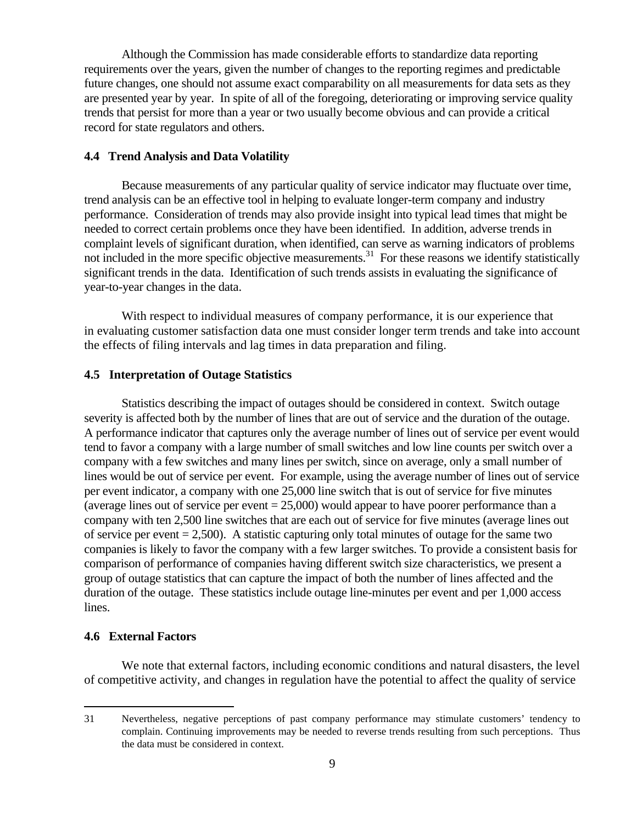Although the Commission has made considerable efforts to standardize data reporting requirements over the years, given the number of changes to the reporting regimes and predictable future changes, one should not assume exact comparability on all measurements for data sets as they are presented year by year. In spite of all of the foregoing, deteriorating or improving service quality trends that persist for more than a year or two usually become obvious and can provide a critical record for state regulators and others.

#### **4.4 Trend Analysis and Data Volatility**

 Because measurements of any particular quality of service indicator may fluctuate over time, trend analysis can be an effective tool in helping to evaluate longer-term company and industry performance. Consideration of trends may also provide insight into typical lead times that might be needed to correct certain problems once they have been identified. In addition, adverse trends in complaint levels of significant duration, when identified, can serve as warning indicators of problems not included in the more specific objective measurements.<sup>31</sup> For these reasons we identify statistically significant trends in the data. Identification of such trends assists in evaluating the significance of year-to-year changes in the data.

 With respect to individual measures of company performance, it is our experience that in evaluating customer satisfaction data one must consider longer term trends and take into account the effects of filing intervals and lag times in data preparation and filing.

## **4.5 Interpretation of Outage Statistics**

 Statistics describing the impact of outages should be considered in context. Switch outage severity is affected both by the number of lines that are out of service and the duration of the outage. A performance indicator that captures only the average number of lines out of service per event would tend to favor a company with a large number of small switches and low line counts per switch over a company with a few switches and many lines per switch, since on average, only a small number of lines would be out of service per event. For example, using the average number of lines out of service per event indicator, a company with one 25,000 line switch that is out of service for five minutes (average lines out of service per event  $= 25,000$ ) would appear to have poorer performance than a company with ten 2,500 line switches that are each out of service for five minutes (average lines out of service per event  $= 2,500$ . A statistic capturing only total minutes of outage for the same two companies is likely to favor the company with a few larger switches. To provide a consistent basis for comparison of performance of companies having different switch size characteristics, we present a group of outage statistics that can capture the impact of both the number of lines affected and the duration of the outage. These statistics include outage line-minutes per event and per 1,000 access lines.

### **4.6 External Factors**

 $\overline{a}$ 

 We note that external factors, including economic conditions and natural disasters, the level of competitive activity, and changes in regulation have the potential to affect the quality of service

<sup>31</sup> Nevertheless, negative perceptions of past company performance may stimulate customers' tendency to complain. Continuing improvements may be needed to reverse trends resulting from such perceptions. Thus the data must be considered in context.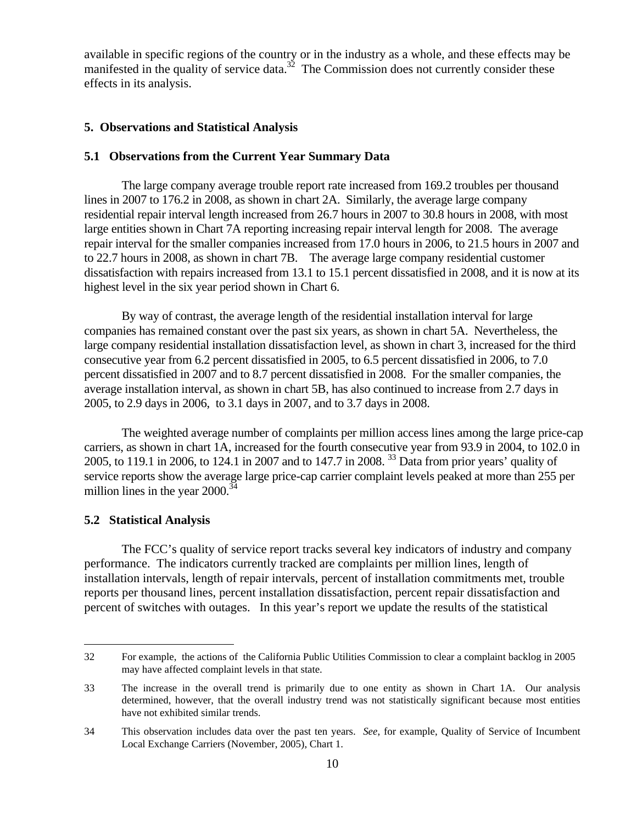available in specific regions of the country or in the industry as a whole, and these effects may be manifested in the quality of service data.<sup>32</sup> The Commission does not currently consider these effects in its analysis.

## **5. Observations and Statistical Analysis**

## **5.1 Observations from the Current Year Summary Data**

 The large company average trouble report rate increased from 169.2 troubles per thousand lines in 2007 to 176.2 in 2008, as shown in chart 2A. Similarly, the average large company residential repair interval length increased from 26.7 hours in 2007 to 30.8 hours in 2008, with most large entities shown in Chart 7A reporting increasing repair interval length for 2008. The average repair interval for the smaller companies increased from 17.0 hours in 2006, to 21.5 hours in 2007 and to 22.7 hours in 2008, as shown in chart 7B. The average large company residential customer dissatisfaction with repairs increased from 13.1 to 15.1 percent dissatisfied in 2008, and it is now at its highest level in the six year period shown in Chart 6.

 By way of contrast, the average length of the residential installation interval for large companies has remained constant over the past six years, as shown in chart 5A. Nevertheless, the large company residential installation dissatisfaction level, as shown in chart 3, increased for the third consecutive year from 6.2 percent dissatisfied in 2005, to 6.5 percent dissatisfied in 2006, to 7.0 percent dissatisfied in 2007 and to 8.7 percent dissatisfied in 2008. For the smaller companies, the average installation interval, as shown in chart 5B, has also continued to increase from 2.7 days in 2005, to 2.9 days in 2006, to 3.1 days in 2007, and to 3.7 days in 2008.

 The weighted average number of complaints per million access lines among the large price-cap carriers, as shown in chart 1A, increased for the fourth consecutive year from 93.9 in 2004, to 102.0 in 2005, to 119.1 in 2006, to 124.1 in 2007 and to 147.7 in 2008. 33 Data from prior years' quality of service reports show the average large price-cap carrier complaint levels peaked at more than 255 per million lines in the year  $2000^{34}$ 

## **5.2 Statistical Analysis**

 $\overline{a}$ 

 The FCC's quality of service report tracks several key indicators of industry and company performance. The indicators currently tracked are complaints per million lines, length of installation intervals, length of repair intervals, percent of installation commitments met, trouble reports per thousand lines, percent installation dissatisfaction, percent repair dissatisfaction and percent of switches with outages. In this year's report we update the results of the statistical

<sup>32</sup> For example, the actions of the California Public Utilities Commission to clear a complaint backlog in 2005 may have affected complaint levels in that state.

<sup>33</sup> The increase in the overall trend is primarily due to one entity as shown in Chart 1A. Our analysis determined, however, that the overall industry trend was not statistically significant because most entities have not exhibited similar trends.

<sup>34</sup> This observation includes data over the past ten years. *See*, for example, Quality of Service of Incumbent Local Exchange Carriers (November, 2005), Chart 1.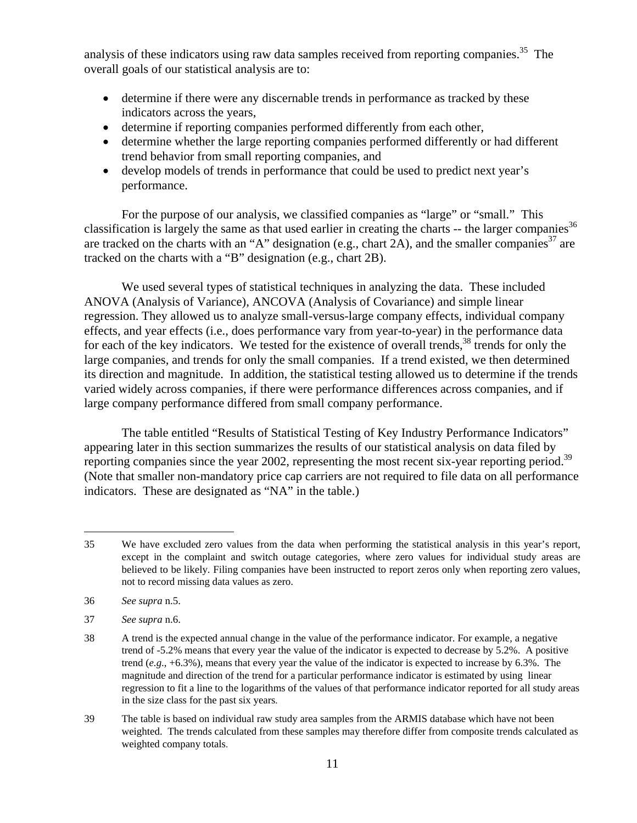analysis of these indicators using raw data samples received from reporting companies.<sup>35</sup> The overall goals of our statistical analysis are to:

- determine if there were any discernable trends in performance as tracked by these indicators across the years,
- determine if reporting companies performed differently from each other,
- determine whether the large reporting companies performed differently or had different trend behavior from small reporting companies, and
- develop models of trends in performance that could be used to predict next year's performance.

 For the purpose of our analysis, we classified companies as "large" or "small." This classification is largely the same as that used earlier in creating the charts  $-$  the larger companies<sup>36</sup> are tracked on the charts with an "A" designation (e.g., chart 2A), and the smaller companies<sup>37</sup> are tracked on the charts with a "B" designation (e.g., chart 2B).

 We used several types of statistical techniques in analyzing the data. These included ANOVA (Analysis of Variance), ANCOVA (Analysis of Covariance) and simple linear regression. They allowed us to analyze small-versus-large company effects, individual company effects, and year effects (i.e., does performance vary from year-to-year) in the performance data for each of the key indicators. We tested for the existence of overall trends,  $38$  trends for only the large companies, and trends for only the small companies. If a trend existed, we then determined its direction and magnitude. In addition, the statistical testing allowed us to determine if the trends varied widely across companies, if there were performance differences across companies, and if large company performance differed from small company performance.

 The table entitled "Results of Statistical Testing of Key Industry Performance Indicators" appearing later in this section summarizes the results of our statistical analysis on data filed by reporting companies since the year 2002, representing the most recent six-year reporting period.<sup>39</sup> (Note that smaller non-mandatory price cap carriers are not required to file data on all performance indicators. These are designated as "NA" in the table.)

36 *See supra* n.5.

 $\overline{a}$ 

<sup>35</sup> We have excluded zero values from the data when performing the statistical analysis in this year's report, except in the complaint and switch outage categories, where zero values for individual study areas are believed to be likely. Filing companies have been instructed to report zeros only when reporting zero values, not to record missing data values as zero.

<sup>37</sup> *See supra* n.6.

<sup>38</sup> A trend is the expected annual change in the value of the performance indicator. For example, a negative trend of -5.2% means that every year the value of the indicator is expected to decrease by 5.2%. A positive trend (*e.g*., +6.3%), means that every year the value of the indicator is expected to increase by 6.3%. The magnitude and direction of the trend for a particular performance indicator is estimated by using linear regression to fit a line to the logarithms of the values of that performance indicator reported for all study areas in the size class for the past six years.

<sup>39</sup> The table is based on individual raw study area samples from the ARMIS database which have not been weighted. The trends calculated from these samples may therefore differ from composite trends calculated as weighted company totals.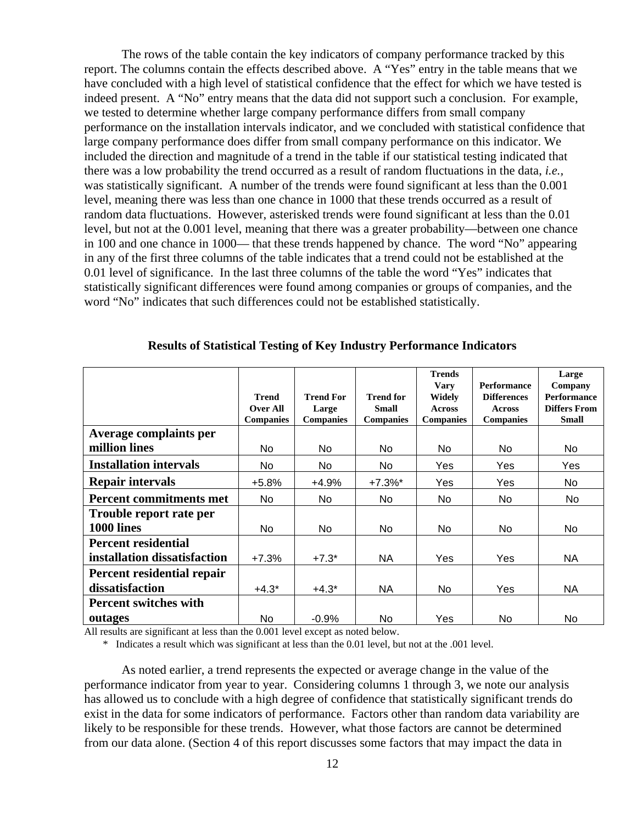The rows of the table contain the key indicators of company performance tracked by this report. The columns contain the effects described above. A "Yes" entry in the table means that we have concluded with a high level of statistical confidence that the effect for which we have tested is indeed present. A "No" entry means that the data did not support such a conclusion. For example, we tested to determine whether large company performance differs from small company performance on the installation intervals indicator, and we concluded with statistical confidence that large company performance does differ from small company performance on this indicator. We included the direction and magnitude of a trend in the table if our statistical testing indicated that there was a low probability the trend occurred as a result of random fluctuations in the data, *i.e.,* was statistically significant. A number of the trends were found significant at less than the 0.001 level, meaning there was less than one chance in 1000 that these trends occurred as a result of random data fluctuations. However, asterisked trends were found significant at less than the 0.01 level, but not at the 0.001 level, meaning that there was a greater probability—between one chance in 100 and one chance in 1000— that these trends happened by chance. The word "No" appearing in any of the first three columns of the table indicates that a trend could not be established at the 0.01 level of significance. In the last three columns of the table the word "Yes" indicates that statistically significant differences were found among companies or groups of companies, and the word "No" indicates that such differences could not be established statistically.

|                                |                                                     |                                               |                                                      | <b>Trends</b><br><b>Vary</b>                | <b>Performance</b>                                      | Large<br>Company                                          |
|--------------------------------|-----------------------------------------------------|-----------------------------------------------|------------------------------------------------------|---------------------------------------------|---------------------------------------------------------|-----------------------------------------------------------|
|                                | <b>Trend</b><br><b>Over All</b><br><b>Companies</b> | <b>Trend For</b><br>Large<br><b>Companies</b> | <b>Trend for</b><br><b>Small</b><br><b>Companies</b> | Widely<br><b>Across</b><br><b>Companies</b> | <b>Differences</b><br><b>Across</b><br><b>Companies</b> | <b>Performance</b><br><b>Differs From</b><br><b>Small</b> |
| Average complaints per         |                                                     |                                               |                                                      |                                             |                                                         |                                                           |
| million lines                  | No.                                                 | N <sub>o</sub>                                | No.                                                  | <b>No</b>                                   | N <sub>o</sub>                                          | No.                                                       |
| <b>Installation intervals</b>  | No                                                  | No.                                           | No.                                                  | Yes                                         | Yes.                                                    | Yes                                                       |
| <b>Repair intervals</b>        | $+5.8%$                                             | $+4.9%$                                       | $+7.3%$ *                                            | Yes                                         | Yes                                                     | No.                                                       |
| <b>Percent commitments met</b> | No.                                                 | No.                                           | No.                                                  | No.                                         | No.                                                     | No.                                                       |
| Trouble report rate per        |                                                     |                                               |                                                      |                                             |                                                         |                                                           |
| 1000 lines                     | No.                                                 | N <sub>o</sub>                                | No.                                                  | N <sub>o</sub>                              | N <sub>o</sub>                                          | No.                                                       |
| <b>Percent residential</b>     |                                                     |                                               |                                                      |                                             |                                                         |                                                           |
| installation dissatisfaction   | $+7.3%$                                             | $+7.3*$                                       | NA.                                                  | Yes                                         | Yes                                                     | NA.                                                       |
| Percent residential repair     |                                                     |                                               |                                                      |                                             |                                                         |                                                           |
| dissatisfaction                | $+4.3*$                                             | $+4.3*$                                       | NA.                                                  | N <sub>o</sub>                              | Yes                                                     | NA.                                                       |
| <b>Percent switches with</b>   |                                                     |                                               |                                                      |                                             |                                                         |                                                           |
| outages                        | No                                                  | $-0.9%$                                       | No.                                                  | Yes                                         | No.                                                     | N <sub>o</sub>                                            |

#### **Results of Statistical Testing of Key Industry Performance Indicators**

All results are significant at less than the 0.001 level except as noted below.

\* Indicates a result which was significant at less than the 0.01 level, but not at the .001 level.

 As noted earlier, a trend represents the expected or average change in the value of the performance indicator from year to year. Considering columns 1 through 3, we note our analysis has allowed us to conclude with a high degree of confidence that statistically significant trends do exist in the data for some indicators of performance. Factors other than random data variability are likely to be responsible for these trends. However, what those factors are cannot be determined from our data alone. (Section 4 of this report discusses some factors that may impact the data in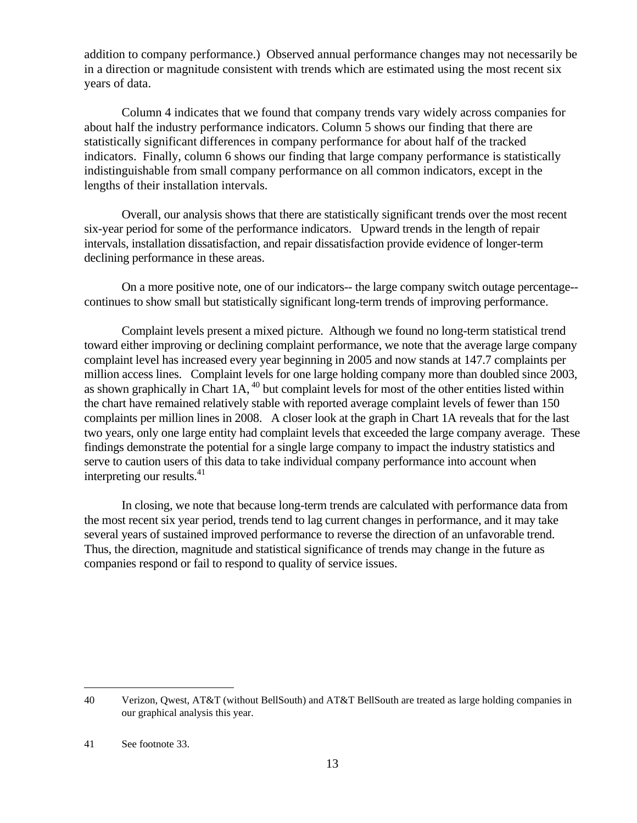addition to company performance.) Observed annual performance changes may not necessarily be in a direction or magnitude consistent with trends which are estimated using the most recent six years of data.

 Column 4 indicates that we found that company trends vary widely across companies for about half the industry performance indicators. Column 5 shows our finding that there are statistically significant differences in company performance for about half of the tracked indicators. Finally, column 6 shows our finding that large company performance is statistically indistinguishable from small company performance on all common indicators, except in the lengths of their installation intervals.

 Overall, our analysis shows that there are statistically significant trends over the most recent six-year period for some of the performance indicators. Upward trends in the length of repair intervals, installation dissatisfaction, and repair dissatisfaction provide evidence of longer-term declining performance in these areas.

 On a more positive note, one of our indicators-- the large company switch outage percentage- continues to show small but statistically significant long-term trends of improving performance.

 Complaint levels present a mixed picture. Although we found no long-term statistical trend toward either improving or declining complaint performance, we note that the average large company complaint level has increased every year beginning in 2005 and now stands at 147.7 complaints per million access lines. Complaint levels for one large holding company more than doubled since 2003, as shown graphically in Chart  $1A$ ,  $^{40}$  but complaint levels for most of the other entities listed within the chart have remained relatively stable with reported average complaint levels of fewer than 150 complaints per million lines in 2008. A closer look at the graph in Chart 1A reveals that for the last two years, only one large entity had complaint levels that exceeded the large company average. These findings demonstrate the potential for a single large company to impact the industry statistics and serve to caution users of this data to take individual company performance into account when interpreting our results. $41$ 

 In closing, we note that because long-term trends are calculated with performance data from the most recent six year period, trends tend to lag current changes in performance, and it may take several years of sustained improved performance to reverse the direction of an unfavorable trend. Thus, the direction, magnitude and statistical significance of trends may change in the future as companies respond or fail to respond to quality of service issues.

 $\overline{a}$ 

<sup>40</sup> Verizon, Qwest, AT&T (without BellSouth) and AT&T BellSouth are treated as large holding companies in our graphical analysis this year.

<sup>41</sup> See footnote 33.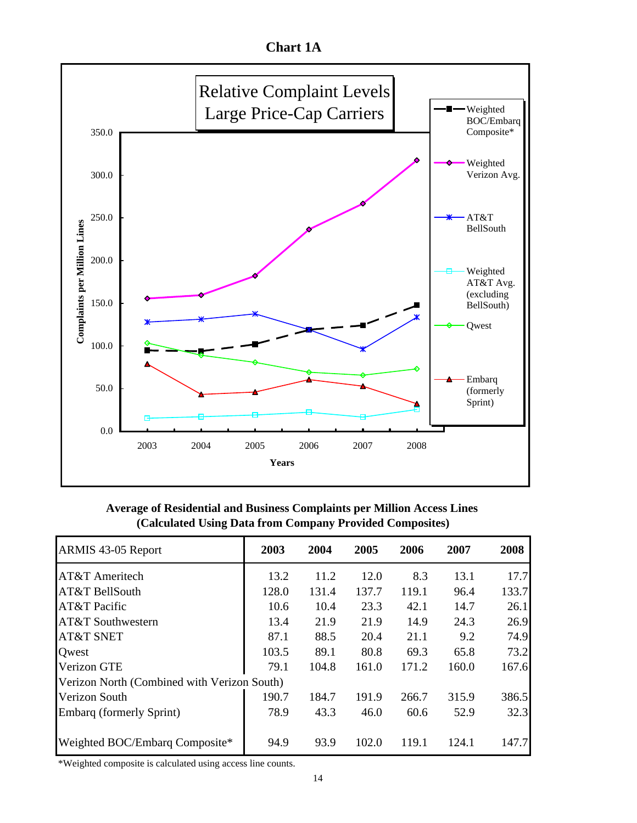**Chart 1A**



**Average of Residential and Business Complaints per Million Access Lines (Calculated Using Data from Company Provided Composites)**

| ARMIS 43-05 Report                          | 2003  | 2004  | 2005  | 2006  | 2007  | 2008  |
|---------------------------------------------|-------|-------|-------|-------|-------|-------|
| AT&T Ameritech                              | 13.2  | 11.2  | 12.0  | 8.3   | 13.1  | 17.7  |
| AT&T BellSouth                              | 128.0 | 131.4 | 137.7 | 119.1 | 96.4  | 133.7 |
| AT&T Pacific                                | 10.6  | 10.4  | 23.3  | 42.1  | 14.7  | 26.1  |
| AT&T Southwestern                           | 13.4  | 21.9  | 21.9  | 14.9  | 24.3  | 26.9  |
| AT&T SNET                                   | 87.1  | 88.5  | 20.4  | 21.1  | 9.2   | 74.9  |
| Owest                                       | 103.5 | 89.1  | 80.8  | 69.3  | 65.8  | 73.2  |
| Verizon GTE                                 | 79.1  | 104.8 | 161.0 | 171.2 | 160.0 | 167.6 |
| Verizon North (Combined with Verizon South) |       |       |       |       |       |       |
| Verizon South                               | 190.7 | 184.7 | 191.9 | 266.7 | 315.9 | 386.5 |
| <b>Embarg (formerly Sprint)</b>             | 78.9  | 43.3  | 46.0  | 60.6  | 52.9  | 32.3  |
|                                             |       |       |       |       |       |       |
| Weighted BOC/Embarq Composite*              | 94.9  | 93.9  | 102.0 | 119.1 | 124.1 | 147.7 |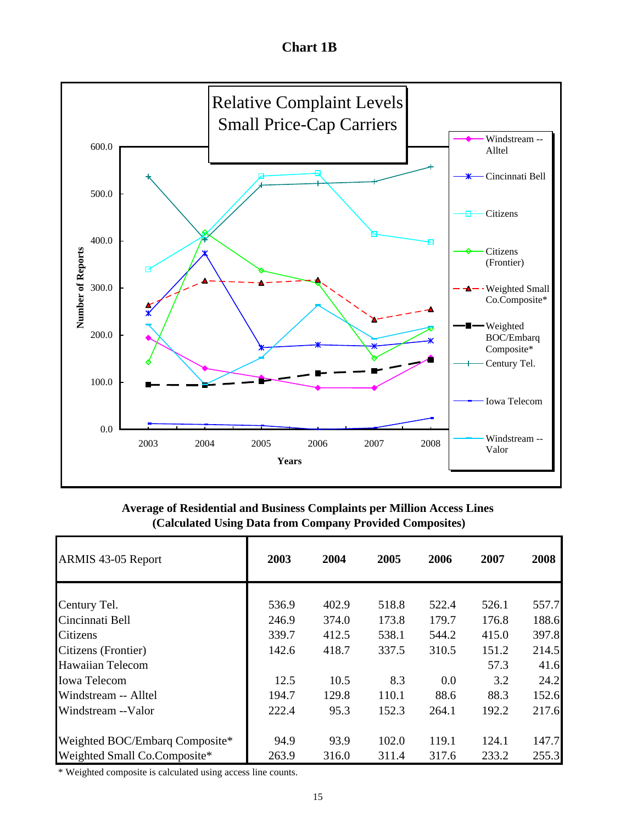**Chart 1B**



**Average of Residential and Business Complaints per Million Access Lines (Calculated Using Data from Company Provided Composites)**

| ARMIS 43-05 Report             | 2003  | 2004  | 2005  | 2006  | 2007  | 2008  |
|--------------------------------|-------|-------|-------|-------|-------|-------|
| Century Tel.                   | 536.9 | 402.9 | 518.8 | 522.4 | 526.1 | 557.7 |
| Cincinnati Bell                | 246.9 | 374.0 | 173.8 | 179.7 | 176.8 | 188.6 |
| Citizens                       | 339.7 | 412.5 | 538.1 | 544.2 | 415.0 | 397.8 |
| Citizens (Frontier)            | 142.6 | 418.7 | 337.5 | 310.5 | 151.2 | 214.5 |
| <b>Hawaiian Telecom</b>        |       |       |       |       | 57.3  | 41.6  |
| <b>Iowa Telecom</b>            | 12.5  | 10.5  | 8.3   | 0.0   | 3.2   | 24.2  |
| Windstream -- Alltel           | 194.7 | 129.8 | 110.1 | 88.6  | 88.3  | 152.6 |
| Windstream --Valor             | 222.4 | 95.3  | 152.3 | 264.1 | 192.2 | 217.6 |
| Weighted BOC/Embarg Composite* | 94.9  | 93.9  | 102.0 | 119.1 | 124.1 | 147.7 |
| Weighted Small Co.Composite*   | 263.9 | 316.0 | 311.4 | 317.6 | 233.2 | 255.3 |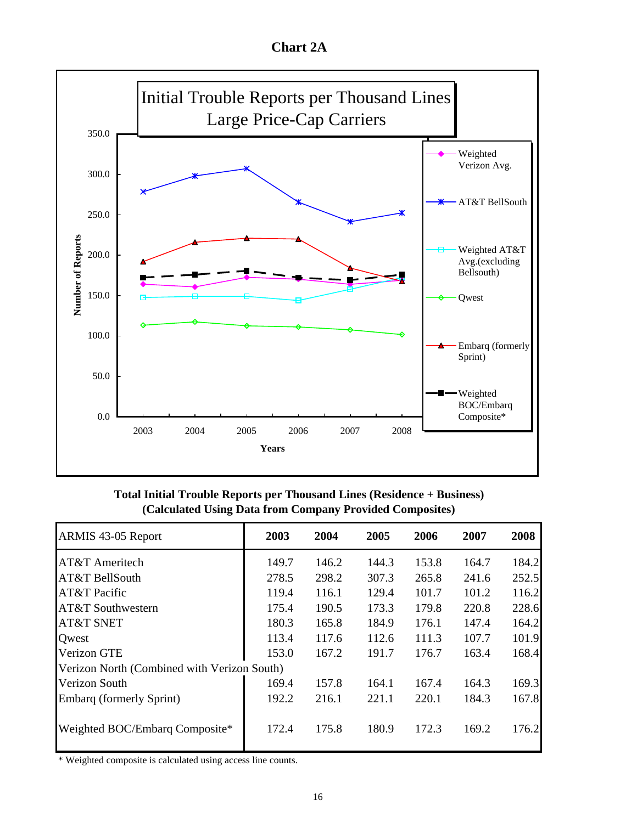**Chart 2A**



**Total Initial Trouble Reports per Thousand Lines (Residence + Business) (Calculated Using Data from Company Provided Composites)**

| ARMIS 43-05 Report                          | 2003  | 2004  | 2005  | 2006  | 2007  | 2008  |
|---------------------------------------------|-------|-------|-------|-------|-------|-------|
| AT&T Ameritech                              | 149.7 | 146.2 | 144.3 | 153.8 | 164.7 | 184.2 |
| AT&T BellSouth                              | 278.5 | 298.2 | 307.3 | 265.8 | 241.6 | 252.5 |
| AT&T Pacific                                | 119.4 | 116.1 | 129.4 | 101.7 | 101.2 | 116.2 |
| AT&T Southwestern                           | 175.4 | 190.5 | 173.3 | 179.8 | 220.8 | 228.6 |
| AT&T SNET                                   | 180.3 | 165.8 | 184.9 | 176.1 | 147.4 | 164.2 |
| Owest                                       | 113.4 | 117.6 | 112.6 | 111.3 | 107.7 | 101.9 |
| Verizon GTE                                 | 153.0 | 167.2 | 191.7 | 176.7 | 163.4 | 168.4 |
| Verizon North (Combined with Verizon South) |       |       |       |       |       |       |
| Verizon South                               | 169.4 | 157.8 | 164.1 | 167.4 | 164.3 | 169.3 |
| Embarq (formerly Sprint)                    | 192.2 | 216.1 | 221.1 | 220.1 | 184.3 | 167.8 |
| Weighted BOC/Embarq Composite*              | 172.4 | 175.8 | 180.9 | 172.3 | 169.2 | 176.2 |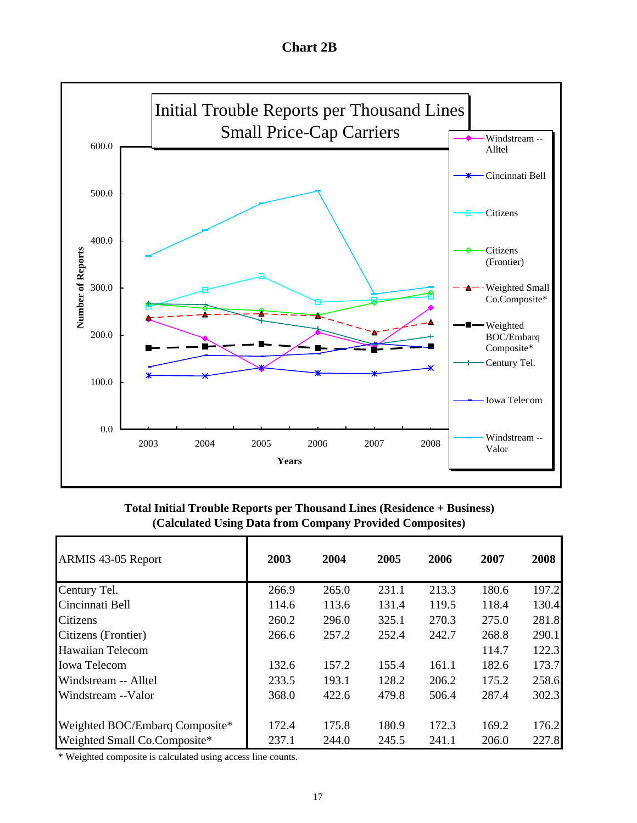**Chart 2B**



**Total Initial Trouble Reports per Thousand Lines (Residence + Business) (Calculated Using Data from Company Provided Composites)**

| ARMIS 43-05 Report             | 2003  | 2004  | 2005  | 2006  | 2007  | 2008  |
|--------------------------------|-------|-------|-------|-------|-------|-------|
| Century Tel.                   | 266.9 | 265.0 | 231.1 | 213.3 | 180.6 | 197.2 |
| Cincinnati Bell                | 114.6 | 113.6 | 131.4 | 119.5 | 118.4 | 130.4 |
| <b>Citizens</b>                | 260.2 | 296.0 | 325.1 | 270.3 | 275.0 | 281.8 |
| Citizens (Frontier)            | 266.6 | 257.2 | 252.4 | 242.7 | 268.8 | 290.1 |
| <b>Hawaiian Telecom</b>        |       |       |       |       | 114.7 | 122.3 |
| <b>Iowa Telecom</b>            | 132.6 | 157.2 | 155.4 | 161.1 | 182.6 | 173.7 |
| Windstream -- Alltel           | 233.5 | 193.1 | 128.2 | 206.2 | 175.2 | 258.6 |
| Windstream --Valor             | 368.0 | 422.6 | 479.8 | 506.4 | 287.4 | 302.3 |
| Weighted BOC/Embarg Composite* | 172.4 | 175.8 | 180.9 | 172.3 | 169.2 | 176.2 |
| Weighted Small Co.Composite*   | 237.1 | 244.0 | 245.5 | 241.1 | 206.0 | 227.8 |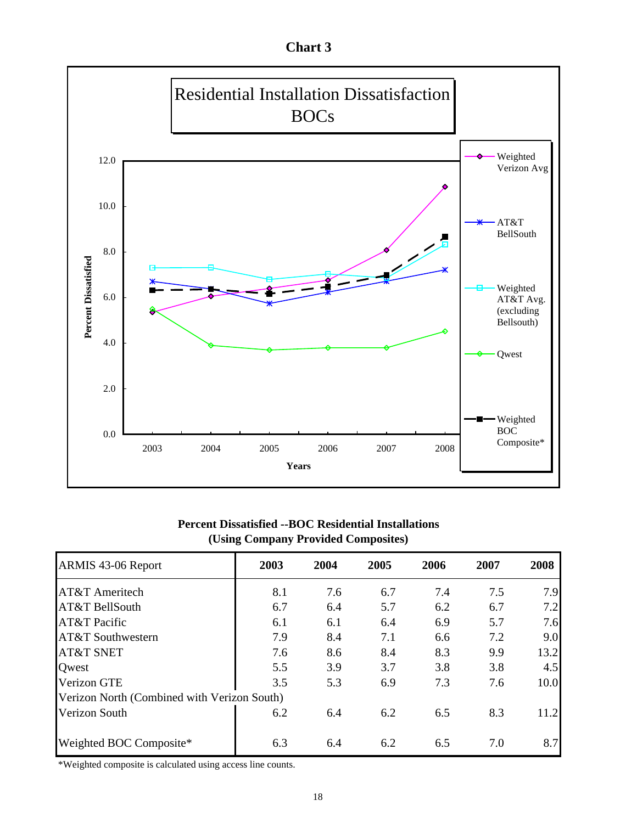**Chart 3**



## **Percent Dissatisfied --BOC Residential Installations (Using Company Provided Composites)**

| ARMIS 43-06 Report                          | 2003 | 2004 | 2005 | 2006 | 2007 | 2008 |
|---------------------------------------------|------|------|------|------|------|------|
| AT&T Ameritech                              | 8.1  | 7.6  | 6.7  | 7.4  | 7.5  | 7.9  |
| AT&T BellSouth                              | 6.7  | 6.4  | 5.7  | 6.2  | 6.7  | 7.2  |
| AT&T Pacific                                | 6.1  | 6.1  | 6.4  | 6.9  | 5.7  | 7.6  |
| AT&T Southwestern                           | 7.9  | 8.4  | 7.1  | 6.6  | 7.2  | 9.0  |
| <b>AT&amp;T SNET</b>                        | 7.6  | 8.6  | 8.4  | 8.3  | 9.9  | 13.2 |
| Qwest                                       | 5.5  | 3.9  | 3.7  | 3.8  | 3.8  | 4.5  |
| Verizon GTE                                 | 3.5  | 5.3  | 6.9  | 7.3  | 7.6  | 10.0 |
| Verizon North (Combined with Verizon South) |      |      |      |      |      |      |
| Verizon South                               | 6.2  | 6.4  | 6.2  | 6.5  | 8.3  | 11.2 |
| Weighted BOC Composite*                     | 6.3  | 6.4  | 6.2  | 6.5  | 7.0  | 8.7  |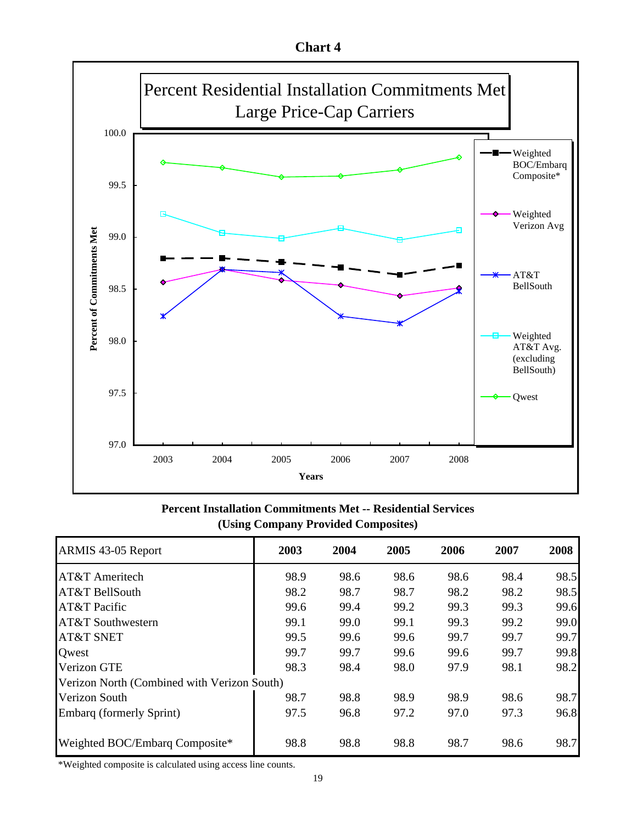**Chart 4**



**Percent Installation Commitments Met -- Residential Services (Using Company Provided Composites)**

| ARMIS 43-05 Report                          | 2003 | 2004 | 2005 | 2006 | 2007 | 2008 |
|---------------------------------------------|------|------|------|------|------|------|
| AT&T Ameritech                              | 98.9 | 98.6 | 98.6 | 98.6 | 98.4 | 98.5 |
| AT&T BellSouth                              | 98.2 | 98.7 | 98.7 | 98.2 | 98.2 | 98.5 |
| AT&T Pacific                                | 99.6 | 99.4 | 99.2 | 99.3 | 99.3 | 99.6 |
| AT&T Southwestern                           | 99.1 | 99.0 | 99.1 | 99.3 | 99.2 | 99.0 |
| <b>AT&amp;T SNET</b>                        | 99.5 | 99.6 | 99.6 | 99.7 | 99.7 | 99.7 |
| Qwest                                       | 99.7 | 99.7 | 99.6 | 99.6 | 99.7 | 99.8 |
| Verizon GTE                                 | 98.3 | 98.4 | 98.0 | 97.9 | 98.1 | 98.2 |
| Verizon North (Combined with Verizon South) |      |      |      |      |      |      |
| Verizon South                               | 98.7 | 98.8 | 98.9 | 98.9 | 98.6 | 98.7 |
| Embarq (formerly Sprint)                    | 97.5 | 96.8 | 97.2 | 97.0 | 97.3 | 96.8 |
| Weighted BOC/Embarq Composite*              | 98.8 | 98.8 | 98.8 | 98.7 | 98.6 | 98.7 |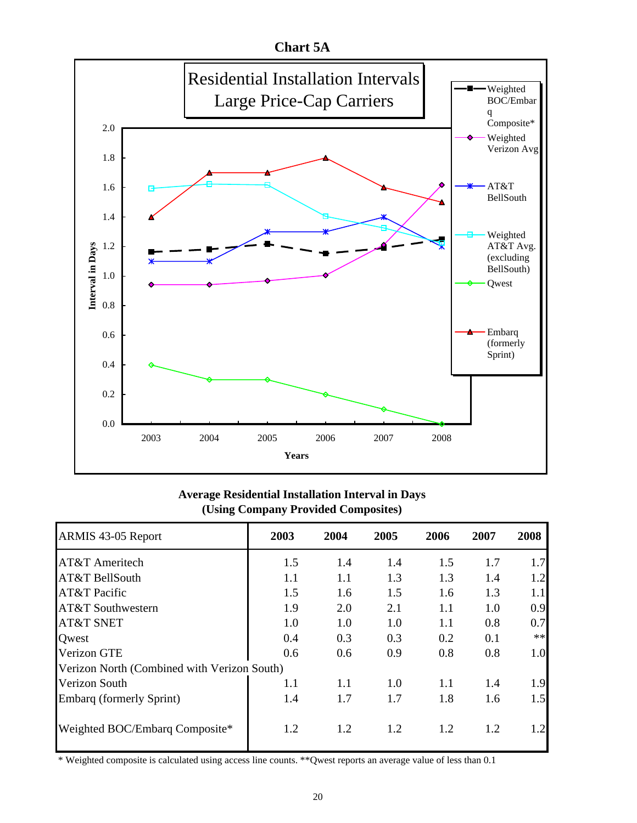

## **Average Residential Installation Interval in Days (Using Company Provided Composites)**

| ARMIS 43-05 Report                          | 2003 | 2004 | 2005 | 2006 | 2007 | 2008       |
|---------------------------------------------|------|------|------|------|------|------------|
| <b>AT&amp;T</b> Ameritech                   | 1.5  | 1.4  | 1.4  | 1.5  | 1.7  | 1.7        |
| AT&T BellSouth                              | 1.1  | 1.1  | 1.3  | 1.3  | 1.4  | 1.2        |
| AT&T Pacific                                | 1.5  | 1.6  | 1.5  | 1.6  | 1.3  | 1.1        |
| AT&T Southwestern                           | 1.9  | 2.0  | 2.1  | 1.1  | 1.0  | 0.9        |
| <b>AT&amp;T SNET</b>                        | 1.0  | 1.0  | 1.0  | 1.1  | 0.8  | 0.7        |
| Owest                                       | 0.4  | 0.3  | 0.3  | 0.2  | 0.1  | $\ast\ast$ |
| Verizon GTE                                 | 0.6  | 0.6  | 0.9  | 0.8  | 0.8  | 1.0        |
| Verizon North (Combined with Verizon South) |      |      |      |      |      |            |
| Verizon South                               | 1.1  | 1.1  | 1.0  | 1.1  | 1.4  | 1.9        |
| Embarq (formerly Sprint)                    | 1.4  | 1.7  | 1.7  | 1.8  | 1.6  | 1.5        |
| Weighted BOC/Embarq Composite*              | 1.2  | 1.2  | 1.2  | 1.2  | 1.2  | 1.2        |

\* Weighted composite is calculated using access line counts. \*\*Qwest reports an average value of less than 0.1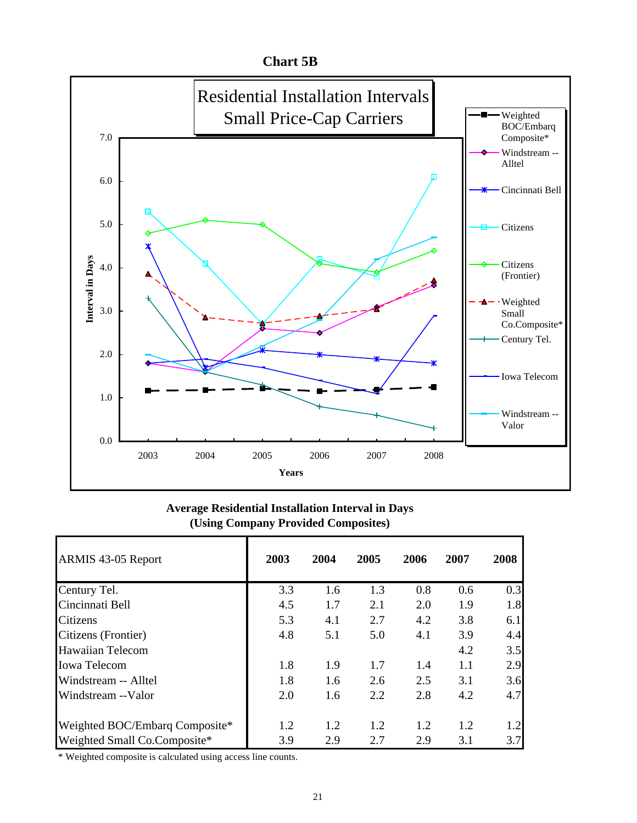

## **Average Residential Installation Interval in Days (Using Company Provided Composites)**

| ARMIS 43-05 Report             | 2003 | 2004 | 2005 | 2006 | 2007 | 2008 |
|--------------------------------|------|------|------|------|------|------|
| Century Tel.                   | 3.3  | 1.6  | 1.3  | 0.8  | 0.6  | 0.3  |
| Cincinnati Bell                | 4.5  | 1.7  | 2.1  | 2.0  | 1.9  | 1.8  |
| Citizens                       | 5.3  | 4.1  | 2.7  | 4.2  | 3.8  | 6.1  |
| Citizens (Frontier)            | 4.8  | 5.1  | 5.0  | 4.1  | 3.9  | 4.4  |
| Hawaiian Telecom               |      |      |      |      | 4.2  | 3.5  |
| <b>Iowa Telecom</b>            | 1.8  | 1.9  | 1.7  | 1.4  | 1.1  | 2.9  |
| Windstream -- Alltel           | 1.8  | 1.6  | 2.6  | 2.5  | 3.1  | 3.6  |
| Windstream --Valor             | 2.0  | 1.6  | 2.2  | 2.8  | 4.2  | 4.7  |
| Weighted BOC/Embarq Composite* | 1.2  | 1.2  | 1.2  | 1.2  | 1.2  | 1.2  |
| Weighted Small Co.Composite*   | 3.9  | 2.9  | 2.7  | 2.9  | 3.1  | 3.7  |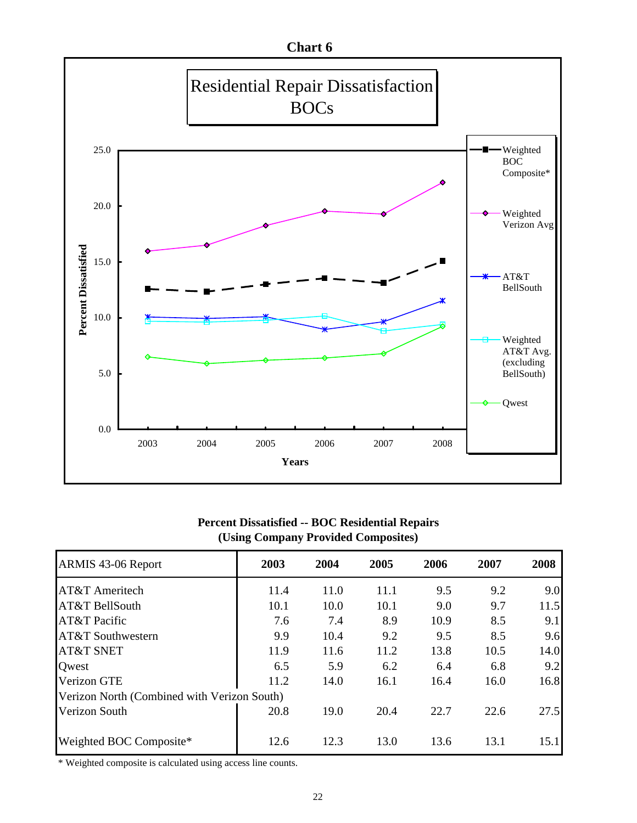

## **Percent Dissatisfied -- BOC Residential Repairs (Using Company Provided Composites)**

| ARMIS 43-06 Report                          | 2003 | 2004 | 2005 | 2006 | 2007 | 2008 |
|---------------------------------------------|------|------|------|------|------|------|
| AT&T Ameritech                              | 11.4 | 11.0 | 11.1 | 9.5  | 9.2  | 9.0  |
| AT&T BellSouth                              | 10.1 | 10.0 | 10.1 | 9.0  | 9.7  | 11.5 |
| AT&T Pacific                                | 7.6  | 7.4  | 8.9  | 10.9 | 8.5  | 9.1  |
| AT&T Southwestern                           | 9.9  | 10.4 | 9.2  | 9.5  | 8.5  | 9.6  |
| <b>AT&amp;T SNET</b>                        | 11.9 | 11.6 | 11.2 | 13.8 | 10.5 | 14.0 |
| <b>Qwest</b>                                | 6.5  | 5.9  | 6.2  | 6.4  | 6.8  | 9.2  |
| <b>Verizon GTE</b>                          | 11.2 | 14.0 | 16.1 | 16.4 | 16.0 | 16.8 |
| Verizon North (Combined with Verizon South) |      |      |      |      |      |      |
| Verizon South                               | 20.8 | 19.0 | 20.4 | 22.7 | 22.6 | 27.5 |
| Weighted BOC Composite*                     | 12.6 | 12.3 | 13.0 | 13.6 | 13.1 | 15.1 |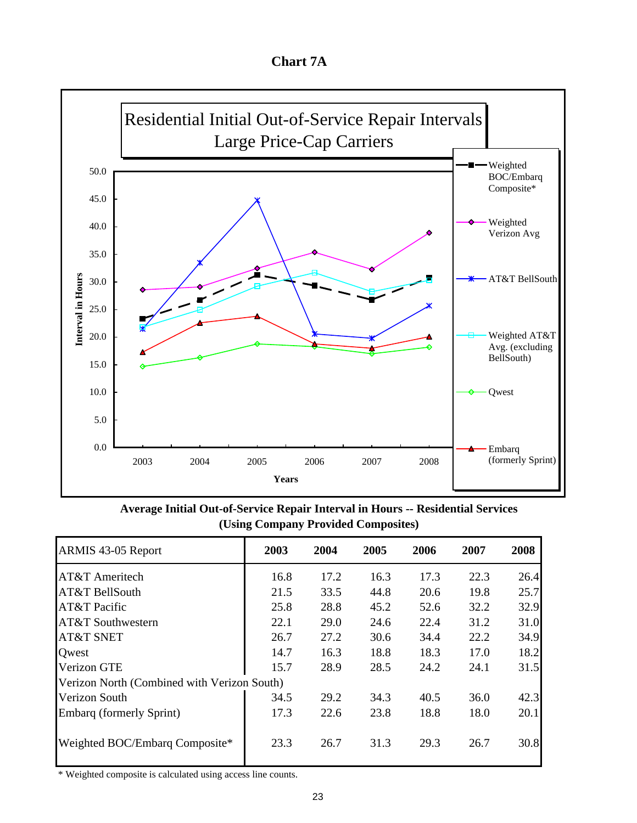**Chart 7A**



**Average Initial Out-of-Service Repair Interval in Hours -- Residential Services (Using Company Provided Composites)**

| ARMIS 43-05 Report                          | 2003 | 2004 | 2005 | 2006 | 2007 | 2008 |
|---------------------------------------------|------|------|------|------|------|------|
| AT&T Ameritech                              | 16.8 | 17.2 | 16.3 | 17.3 | 22.3 | 26.4 |
| AT&T BellSouth                              | 21.5 | 33.5 | 44.8 | 20.6 | 19.8 | 25.7 |
| AT&T Pacific                                | 25.8 | 28.8 | 45.2 | 52.6 | 32.2 | 32.9 |
| AT&T Southwestern                           | 22.1 | 29.0 | 24.6 | 22.4 | 31.2 | 31.0 |
| <b>AT&amp;T SNET</b>                        | 26.7 | 27.2 | 30.6 | 34.4 | 22.2 | 34.9 |
| Owest                                       | 14.7 | 16.3 | 18.8 | 18.3 | 17.0 | 18.2 |
| Verizon GTE                                 | 15.7 | 28.9 | 28.5 | 24.2 | 24.1 | 31.5 |
| Verizon North (Combined with Verizon South) |      |      |      |      |      |      |
| Verizon South                               | 34.5 | 29.2 | 34.3 | 40.5 | 36.0 | 42.3 |
| Embarg (formerly Sprint)                    | 17.3 | 22.6 | 23.8 | 18.8 | 18.0 | 20.1 |
| Weighted BOC/Embarq Composite*              | 23.3 | 26.7 | 31.3 | 29.3 | 26.7 | 30.8 |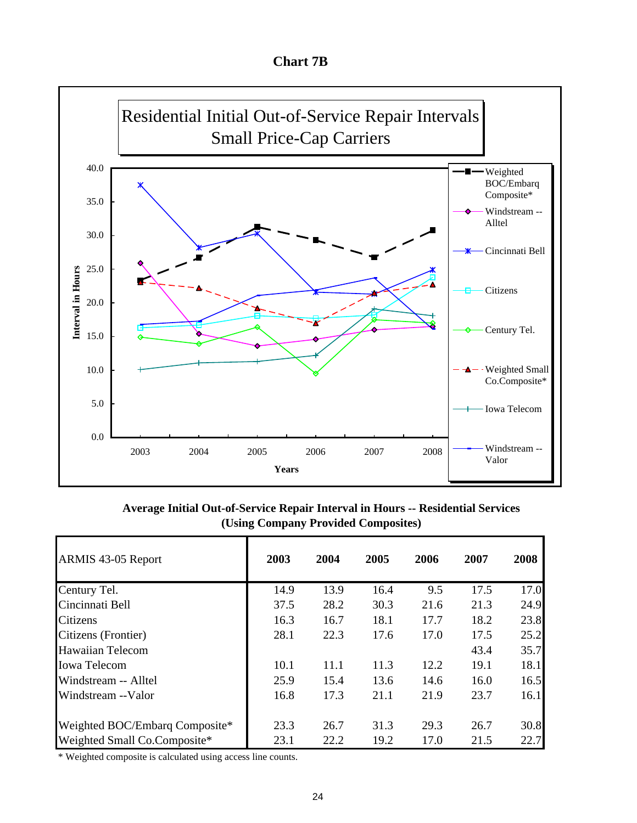**Chart 7B**

![](_page_24_Figure_1.jpeg)

**Average Initial Out-of-Service Repair Interval in Hours -- Residential Services (Using Company Provided Composites)**

| ARMIS 43-05 Report             | 2003 | 2004 | 2005 | 2006 | 2007 | 2008 |
|--------------------------------|------|------|------|------|------|------|
| Century Tel.                   | 14.9 | 13.9 | 16.4 | 9.5  | 17.5 | 17.0 |
| Cincinnati Bell                | 37.5 | 28.2 | 30.3 | 21.6 | 21.3 | 24.9 |
| Citizens                       | 16.3 | 16.7 | 18.1 | 17.7 | 18.2 | 23.8 |
| Citizens (Frontier)            | 28.1 | 22.3 | 17.6 | 17.0 | 17.5 | 25.2 |
| <b>Hawaiian Telecom</b>        |      |      |      |      | 43.4 | 35.7 |
| <b>Iowa Telecom</b>            | 10.1 | 11.1 | 11.3 | 12.2 | 19.1 | 18.1 |
| Windstream -- Alltel           | 25.9 | 15.4 | 13.6 | 14.6 | 16.0 | 16.5 |
| Windstream --Valor             | 16.8 | 17.3 | 21.1 | 21.9 | 23.7 | 16.1 |
| Weighted BOC/Embarg Composite* | 23.3 | 26.7 | 31.3 | 29.3 | 26.7 | 30.8 |
| Weighted Small Co.Composite*   | 23.1 | 22.2 | 19.2 | 17.0 | 21.5 | 22.7 |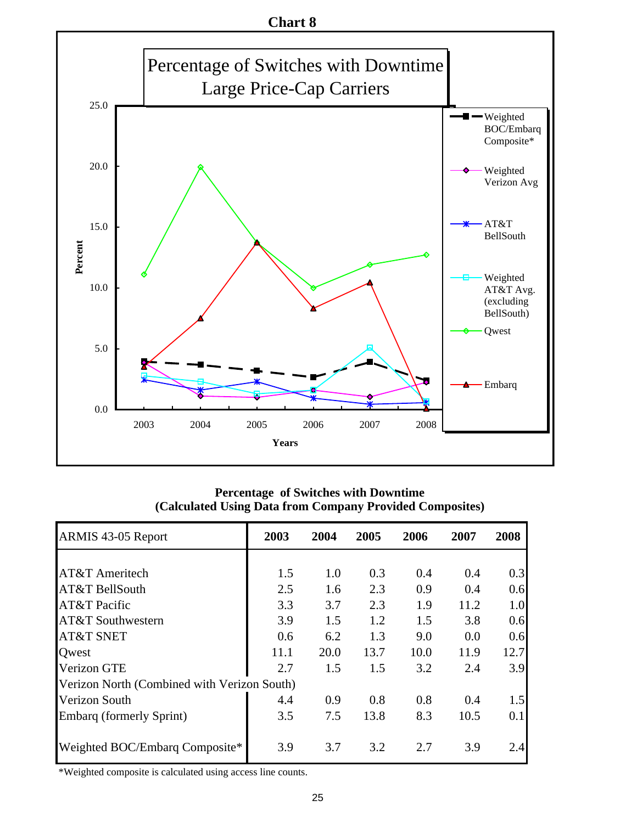![](_page_25_Figure_0.jpeg)

**Percentage of Switches with Downtime (Calculated Using Data from Company Provided Composites)**

| ARMIS 43-05 Report                          | 2003 | 2004 | 2005 | 2006 | 2007 | 2008 |
|---------------------------------------------|------|------|------|------|------|------|
|                                             |      |      |      |      |      |      |
| AT&T Ameritech                              | 1.5  | 1.0  | 0.3  | 0.4  | 0.4  | 0.3  |
| AT&T BellSouth                              | 2.5  | 1.6  | 2.3  | 0.9  | 0.4  | 0.6  |
| AT&T Pacific                                | 3.3  | 3.7  | 2.3  | 1.9  | 11.2 | 1.0  |
| AT&T Southwestern                           | 3.9  | 1.5  | 1.2  | 1.5  | 3.8  | 0.6  |
| <b>AT&amp;T SNET</b>                        | 0.6  | 6.2  | 1.3  | 9.0  | 0.0  | 0.6  |
| Owest                                       | 11.1 | 20.0 | 13.7 | 10.0 | 11.9 | 12.7 |
| Verizon GTE                                 | 2.7  | 1.5  | 1.5  | 3.2  | 2.4  | 3.9  |
| Verizon North (Combined with Verizon South) |      |      |      |      |      |      |
| Verizon South                               | 4.4  | 0.9  | 0.8  | 0.8  | 0.4  | 1.5  |
| Embarg (formerly Sprint)                    | 3.5  | 7.5  | 13.8 | 8.3  | 10.5 | 0.1  |
|                                             |      |      |      |      |      |      |
| Weighted BOC/Embarg Composite*              | 3.9  | 3.7  | 3.2  | 2.7  | 3.9  | 2.4  |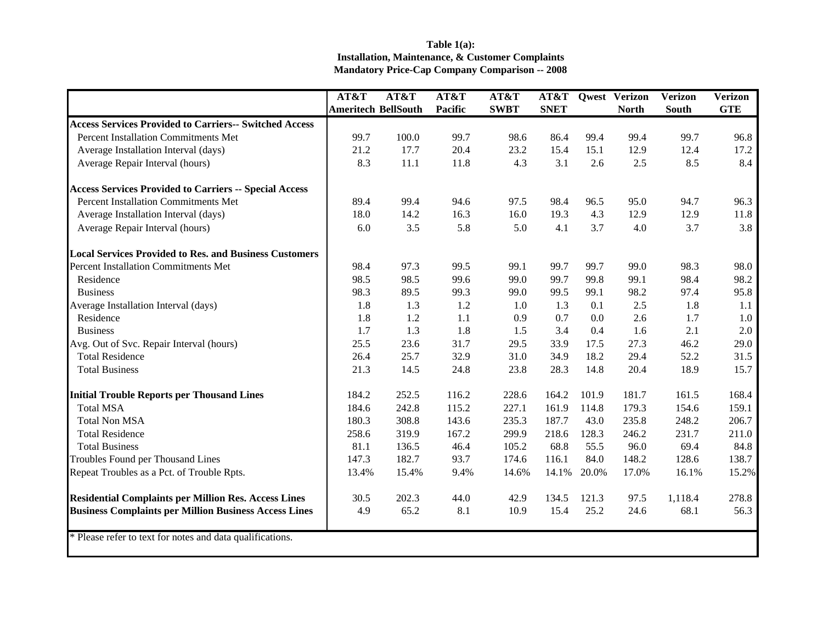## **Table 1(a): Installation, Maintenance, & Customer Complaints Mandatory Price-Cap Company Comparison -- 2008**

|                                                               | AT&T                       | AT&T  | AT&T    | AT&T        | AT&T        |       | <b>Qwest Verizon</b> | <b>Verizon</b> | Verizon    |
|---------------------------------------------------------------|----------------------------|-------|---------|-------------|-------------|-------|----------------------|----------------|------------|
|                                                               | <b>Ameritech BellSouth</b> |       | Pacific | <b>SWBT</b> | <b>SNET</b> |       | <b>North</b>         | <b>South</b>   | <b>GTE</b> |
| <b>Access Services Provided to Carriers-- Switched Access</b> |                            |       |         |             |             |       |                      |                |            |
| <b>Percent Installation Commitments Met</b>                   | 99.7                       | 100.0 | 99.7    | 98.6        | 86.4        | 99.4  | 99.4                 | 99.7           | 96.8       |
| Average Installation Interval (days)                          | 21.2                       | 17.7  | 20.4    | 23.2        | 15.4        | 15.1  | 12.9                 | 12.4           | 17.2       |
| Average Repair Interval (hours)                               | 8.3                        | 11.1  | 11.8    | 4.3         | 3.1         | 2.6   | 2.5                  | 8.5            | 8.4        |
| <b>Access Services Provided to Carriers -- Special Access</b> |                            |       |         |             |             |       |                      |                |            |
| Percent Installation Commitments Met                          | 89.4                       | 99.4  | 94.6    | 97.5        | 98.4        | 96.5  | 95.0                 | 94.7           | 96.3       |
| Average Installation Interval (days)                          | 18.0                       | 14.2  | 16.3    | 16.0        | 19.3        | 4.3   | 12.9                 | 12.9           | 11.8       |
| Average Repair Interval (hours)                               | 6.0                        | 3.5   | 5.8     | 5.0         | 4.1         | 3.7   | 4.0                  | 3.7            | 3.8        |
| <b>Local Services Provided to Res. and Business Customers</b> |                            |       |         |             |             |       |                      |                |            |
| <b>Percent Installation Commitments Met</b>                   | 98.4                       | 97.3  | 99.5    | 99.1        | 99.7        | 99.7  | 99.0                 | 98.3           | 98.0       |
| Residence                                                     | 98.5                       | 98.5  | 99.6    | 99.0        | 99.7        | 99.8  | 99.1                 | 98.4           | 98.2       |
| <b>Business</b>                                               | 98.3                       | 89.5  | 99.3    | 99.0        | 99.5        | 99.1  | 98.2                 | 97.4           | 95.8       |
| Average Installation Interval (days)                          | 1.8                        | 1.3   | 1.2     | 1.0         | 1.3         | 0.1   | 2.5                  | 1.8            | 1.1        |
| Residence                                                     | 1.8                        | 1.2   | $1.1\,$ | 0.9         | 0.7         | 0.0   | 2.6                  | 1.7            | 1.0        |
| <b>Business</b>                                               | 1.7                        | 1.3   | 1.8     | 1.5         | 3.4         | 0.4   | 1.6                  | 2.1            | 2.0        |
| Avg. Out of Svc. Repair Interval (hours)                      | 25.5                       | 23.6  | 31.7    | 29.5        | 33.9        | 17.5  | 27.3                 | 46.2           | 29.0       |
| <b>Total Residence</b>                                        | 26.4                       | 25.7  | 32.9    | 31.0        | 34.9        | 18.2  | 29.4                 | 52.2           | 31.5       |
| <b>Total Business</b>                                         | 21.3                       | 14.5  | 24.8    | 23.8        | 28.3        | 14.8  | 20.4                 | 18.9           | 15.7       |
| <b>Initial Trouble Reports per Thousand Lines</b>             | 184.2                      | 252.5 | 116.2   | 228.6       | 164.2       | 101.9 | 181.7                | 161.5          | 168.4      |
| <b>Total MSA</b>                                              | 184.6                      | 242.8 | 115.2   | 227.1       | 161.9       | 114.8 | 179.3                | 154.6          | 159.1      |
| <b>Total Non MSA</b>                                          | 180.3                      | 308.8 | 143.6   | 235.3       | 187.7       | 43.0  | 235.8                | 248.2          | 206.7      |
| <b>Total Residence</b>                                        | 258.6                      | 319.9 | 167.2   | 299.9       | 218.6       | 128.3 | 246.2                | 231.7          | 211.0      |
| <b>Total Business</b>                                         | 81.1                       | 136.5 | 46.4    | 105.2       | 68.8        | 55.5  | 96.0                 | 69.4           | 84.8       |
| Troubles Found per Thousand Lines                             | 147.3                      | 182.7 | 93.7    | 174.6       | 116.1       | 84.0  | 148.2                | 128.6          | 138.7      |
| Repeat Troubles as a Pct. of Trouble Rpts.                    | 13.4%                      | 15.4% | 9.4%    | 14.6%       | 14.1%       | 20.0% | 17.0%                | 16.1%          | 15.2%      |
| <b>Residential Complaints per Million Res. Access Lines</b>   | 30.5                       | 202.3 | 44.0    | 42.9        | 134.5       | 121.3 | 97.5                 | 1,118.4        | 278.8      |
| <b>Business Complaints per Million Business Access Lines</b>  | 4.9                        | 65.2  | 8.1     | 10.9        | 15.4        | 25.2  | 24.6                 | 68.1           | 56.3       |
| * Please refer to text for notes and data qualifications.     |                            |       |         |             |             |       |                      |                |            |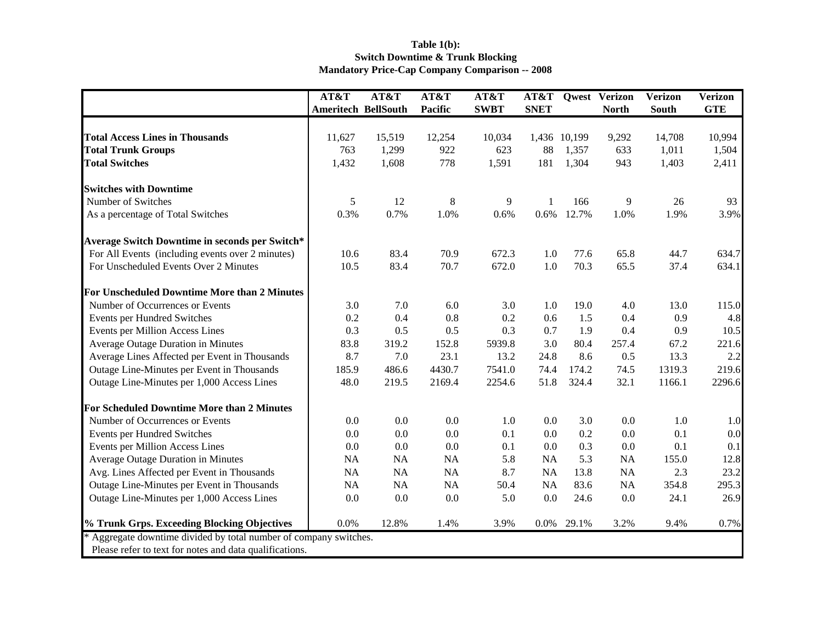## **Table 1(b): Switch Downtime & Trunk Blocking Mandatory Price-Cap Company Comparison -- 2008**

|                                                                   | AT&T                       | AT&T      | AT&T    | AT&T        |             |              | <b>AT&amp;T</b> Qwest Verizon | <b>Verizon</b> | <b>Verizon</b> |
|-------------------------------------------------------------------|----------------------------|-----------|---------|-------------|-------------|--------------|-------------------------------|----------------|----------------|
|                                                                   | <b>Ameritech BellSouth</b> |           | Pacific | <b>SWBT</b> | <b>SNET</b> |              | <b>North</b>                  | South          | <b>GTE</b>     |
|                                                                   |                            |           |         |             |             |              |                               |                |                |
| <b>Total Access Lines in Thousands</b>                            | 11,627                     | 15,519    | 12,254  | 10,034      |             | 1,436 10,199 | 9,292                         | 14,708         | 10,994         |
| <b>Total Trunk Groups</b>                                         | 763                        | 1,299     | 922     | 623         | 88          | 1,357        | 633                           | 1,011          | 1,504          |
| <b>Total Switches</b>                                             | 1,432                      | 1,608     | 778     | 1,591       | 181         | 1,304        | 943                           | 1,403          | 2,411          |
| <b>Switches with Downtime</b>                                     |                            |           |         |             |             |              |                               |                |                |
| Number of Switches                                                | 5                          | 12        | 8       | 9           | 1           | 166          | 9                             | 26             | 93             |
| As a percentage of Total Switches                                 | 0.3%                       | 0.7%      | 1.0%    | 0.6%        | 0.6%        | 12.7%        | 1.0%                          | 1.9%           | 3.9%           |
| Average Switch Downtime in seconds per Switch*                    |                            |           |         |             |             |              |                               |                |                |
| For All Events (including events over 2 minutes)                  | 10.6                       | 83.4      | 70.9    | 672.3       | 1.0         | 77.6         | 65.8                          | 44.7           | 634.7          |
| For Unscheduled Events Over 2 Minutes                             | 10.5                       | 83.4      | 70.7    | 672.0       | 1.0         | 70.3         | 65.5                          | 37.4           | 634.1          |
| For Unscheduled Downtime More than 2 Minutes                      |                            |           |         |             |             |              |                               |                |                |
| Number of Occurrences or Events                                   | 3.0                        | 7.0       | 6.0     | 3.0         | 1.0         | 19.0         | 4.0                           | 13.0           | 115.0          |
| Events per Hundred Switches                                       | 0.2                        | 0.4       | 0.8     | 0.2         | 0.6         | 1.5          | 0.4                           | 0.9            | 4.8            |
| Events per Million Access Lines                                   | 0.3                        | 0.5       | 0.5     | 0.3         | 0.7         | 1.9          | 0.4                           | 0.9            | 10.5           |
| Average Outage Duration in Minutes                                | 83.8                       | 319.2     | 152.8   | 5939.8      | 3.0         | 80.4         | 257.4                         | 67.2           | 221.6          |
| Average Lines Affected per Event in Thousands                     | 8.7                        | 7.0       | 23.1    | 13.2        | 24.8        | 8.6          | 0.5                           | 13.3           | 2.2            |
| Outage Line-Minutes per Event in Thousands                        | 185.9                      | 486.6     | 4430.7  | 7541.0      | 74.4        | 174.2        | 74.5                          | 1319.3         | 219.6          |
| Outage Line-Minutes per 1,000 Access Lines                        | 48.0                       | 219.5     | 2169.4  | 2254.6      | 51.8        | 324.4        | 32.1                          | 1166.1         | 2296.6         |
| <b>For Scheduled Downtime More than 2 Minutes</b>                 |                            |           |         |             |             |              |                               |                |                |
| Number of Occurrences or Events                                   | 0.0                        | 0.0       | 0.0     | 1.0         | 0.0         | 3.0          | 0.0                           | 1.0            | 1.0            |
| Events per Hundred Switches                                       | 0.0                        | 0.0       | $0.0\,$ | 0.1         | 0.0         | 0.2          | 0.0                           | 0.1            | 0.0            |
| Events per Million Access Lines                                   | 0.0                        | 0.0       | 0.0     | 0.1         | 0.0         | 0.3          | 0.0                           | 0.1            | 0.1            |
| <b>Average Outage Duration in Minutes</b>                         | NA                         | <b>NA</b> | NA      | 5.8         | <b>NA</b>   | 5.3          | NA                            | 155.0          | 12.8           |
| Avg. Lines Affected per Event in Thousands                        | NA                         | <b>NA</b> | NA      | 8.7         | NA          | 13.8         | NA                            | 2.3            | 23.2           |
| Outage Line-Minutes per Event in Thousands                        | NA                         | NA        | NA      | 50.4        | NA          | 83.6         | NA                            | 354.8          | 295.3          |
| Outage Line-Minutes per 1,000 Access Lines                        | 0.0                        | 0.0       | 0.0     | 5.0         | 0.0         | 24.6         | 0.0                           | 24.1           | 26.9           |
| % Trunk Grps. Exceeding Blocking Objectives                       | 0.0%                       | 12.8%     | 1.4%    | 3.9%        | $0.0\%$     | 29.1%        | 3.2%                          | 9.4%           | 0.7%           |
| * Aggregate downtime divided by total number of company switches. |                            |           |         |             |             |              |                               |                |                |
| Please refer to text for notes and data qualifications.           |                            |           |         |             |             |              |                               |                |                |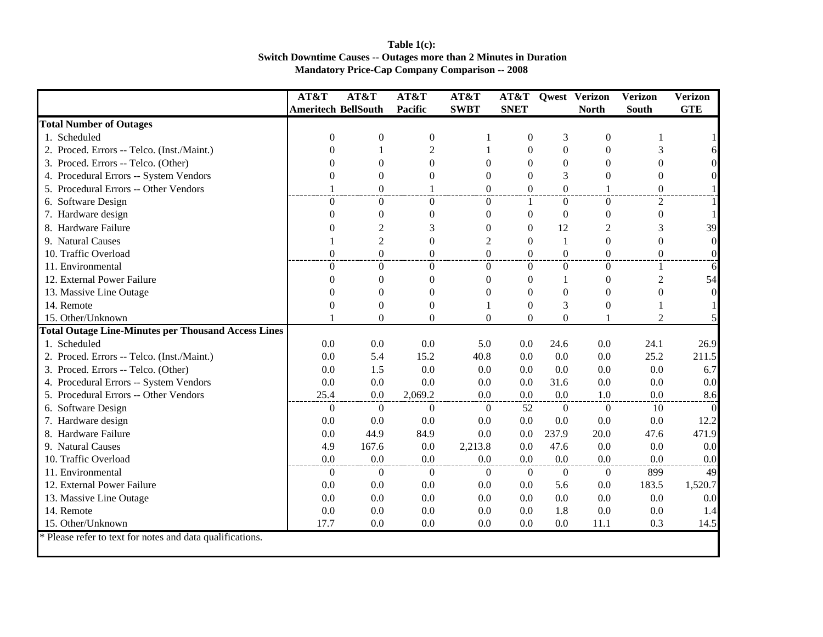## **Table 1(c): Switch Downtime Causes -- Outages more than 2 Minutes in Duration Mandatory Price-Cap Company Comparison -- 2008**

|                                                            | AT&T                       | AT&T             | AT&T             | AT&T           | AT&T             |                | Qwest Verizon    | Verizon          | Verizon    |
|------------------------------------------------------------|----------------------------|------------------|------------------|----------------|------------------|----------------|------------------|------------------|------------|
|                                                            | <b>Ameritech BellSouth</b> |                  | Pacific          | <b>SWBT</b>    | <b>SNET</b>      |                | <b>North</b>     | <b>South</b>     | <b>GTE</b> |
| <b>Total Number of Outages</b>                             |                            |                  |                  |                |                  |                |                  |                  |            |
| 1. Scheduled                                               | $\theta$                   | $\boldsymbol{0}$ | $\boldsymbol{0}$ |                | $\boldsymbol{0}$ | 3              | $\boldsymbol{0}$ |                  |            |
| 2. Proced. Errors -- Telco. (Inst./Maint.)                 | 0                          |                  | $\overline{2}$   |                | $\theta$         | $\overline{0}$ | $\Omega$         | 3                |            |
| 3. Proced. Errors -- Telco. (Other)                        | 0                          | $\theta$         | $\Omega$         | $\Omega$       | $\theta$         | $\overline{0}$ | $\Omega$         | $\Omega$         |            |
| 4. Procedural Errors -- System Vendors                     | 0                          | $\theta$         | $\Omega$         | $\Omega$       | $\theta$         | 3              | $\theta$         | 0                |            |
| 5. Procedural Errors -- Other Vendors                      | $\mathbf{1}$               | $\overline{0}$   | 1                | $\Omega$       | $\Omega$         | $\overline{0}$ | $\mathbf{1}$     | $\Omega$         |            |
| 6. Software Design                                         | $\Omega$                   | $\overline{0}$   | $\theta$         | $\theta$       | 1                | $\overline{0}$ | $\Omega$         | $\mathfrak{2}$   |            |
| 7. Hardware design                                         | $\theta$                   | $\overline{0}$   | $\Omega$         | $\Omega$       | $\mathbf{0}$     | $\Omega$       | $\boldsymbol{0}$ | $\Omega$         |            |
| 8. Hardware Failure                                        | 0                          | $\overline{2}$   | 3                | $\theta$       | $\Omega$         | 12             | $\overline{c}$   | 3                | 39         |
| 9. Natural Causes                                          |                            | $\overline{c}$   | $\theta$         | $\mathfrak{2}$ | $\theta$         | 1              | $\theta$         | $\Omega$         | $\Omega$   |
| 10. Traffic Overload                                       | $\boldsymbol{0}$           | $\overline{0}$   | $\Omega$         | $\Omega$       | $\Omega$         | $\overline{0}$ | $\theta$         | $\boldsymbol{0}$ |            |
| 11. Environmental                                          | $\overline{0}$             | $\overline{0}$   | $\Omega$         | $\mathbf{0}$   | $\Omega$         | $\overline{0}$ | $\overline{0}$   | 1                | 6          |
| 12. External Power Failure                                 | $\theta$                   | $\theta$         | $\theta$         | $\theta$       | $\boldsymbol{0}$ |                | $\theta$         | $\overline{2}$   | 54         |
| 13. Massive Line Outage                                    | 0                          | $\Omega$         | $\Omega$         | $\theta$       | $\Omega$         | $\overline{0}$ | $\theta$         | $\Omega$         |            |
| 14. Remote                                                 | 0                          | $\theta$         | $\mathbf{0}$     |                | $\theta$         | 3              | 0                |                  |            |
| 15. Other/Unknown                                          |                            | $\Omega$         | $\Omega$         | $\Omega$       | $\Omega$         | $\Omega$       |                  | $\overline{2}$   |            |
| <b>Total Outage Line-Minutes per Thousand Access Lines</b> |                            |                  |                  |                |                  |                |                  |                  |            |
| 1. Scheduled                                               | 0.0                        | 0.0              | 0.0              | 5.0            | 0.0              | 24.6           | 0.0              | 24.1             | 26.9       |
| 2. Proced. Errors -- Telco. (Inst./Maint.)                 | 0.0                        | 5.4              | 15.2             | 40.8           | 0.0              | 0.0            | 0.0              | 25.2             | 211.5      |
| 3. Proced. Errors -- Telco. (Other)                        | 0.0                        | 1.5              | 0.0              | 0.0            | 0.0              | 0.0            | 0.0              | 0.0              | 6.7        |
| 4. Procedural Errors -- System Vendors                     | 0.0                        | 0.0              | 0.0              | 0.0            | 0.0              | 31.6           | 0.0              | 0.0              | 0.0        |
| 5. Procedural Errors -- Other Vendors                      | 25.4                       | 0.0              | 2,069.2          | 0.0            | 0.0              | 0.0            | 1.0              | 0.0              | 8.6        |
| 6. Software Design                                         | $\overline{0}$             | $\overline{0}$   | $\theta$         | $\theta$       | 52               | $\theta$       | $\overline{0}$   | 10               | $\Omega$   |
| 7. Hardware design                                         | 0.0                        | 0.0              | 0.0              | 0.0            | 0.0              | 0.0            | 0.0              | 0.0              | 12.2       |
| 8. Hardware Failure                                        | 0.0                        | 44.9             | 84.9             | 0.0            | 0.0              | 237.9          | 20.0             | 47.6             | 471.9      |
| 9. Natural Causes                                          | 4.9                        | 167.6            | 0.0              | 2,213.8        | 0.0              | 47.6           | 0.0              | 0.0              | 0.0        |
| 10. Traffic Overload                                       | 0.0                        | 0.0              | 0.0              | 0.0            | 0.0              | 0.0            | 0.0              | 0.0              | 0.0        |
| 11. Environmental                                          | $\overline{0}$             | $\overline{0}$   | $\theta$         | $\theta$       | $\overline{0}$   | $\overline{0}$ | $\overline{0}$   | 899              | 49         |
| 12. External Power Failure                                 | 0.0                        | 0.0              | 0.0              | 0.0            | 0.0              | 5.6            | 0.0              | 183.5            | 1,520.7    |
| 13. Massive Line Outage                                    | 0.0                        | 0.0              | 0.0              | 0.0            | 0.0              | 0.0            | 0.0              | 0.0              | 0.0        |
| 14. Remote                                                 | 0.0                        | 0.0              | 0.0              | 0.0            | 0.0              | 1.8            | 0.0              | 0.0              | 1.4        |
| 15. Other/Unknown                                          | 17.7                       | 0.0              | 0.0              | 0.0            | 0.0              | 0.0            | 11.1             | 0.3              | 14.5       |
| * Please refer to text for notes and data qualifications.  |                            |                  |                  |                |                  |                |                  |                  |            |
|                                                            |                            |                  |                  |                |                  |                |                  |                  |            |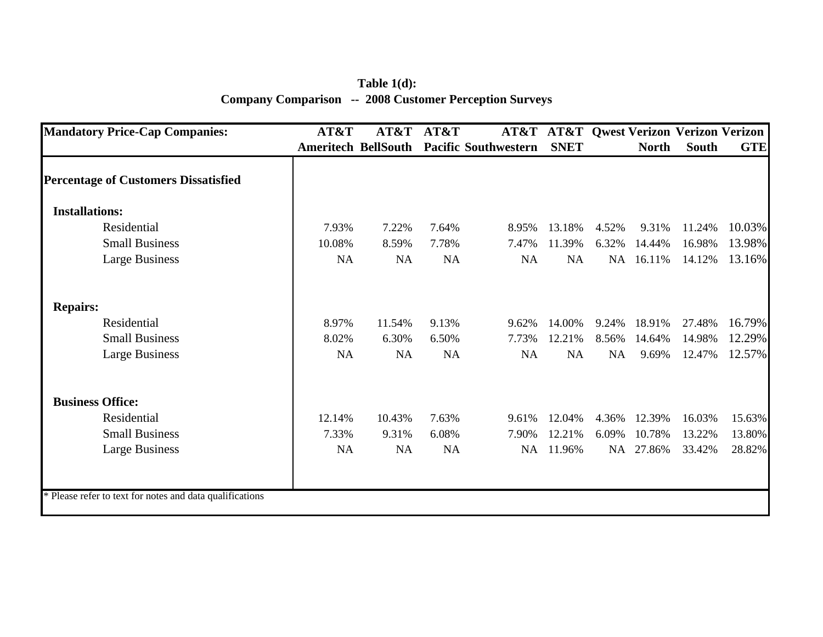**Table 1(d): Company Comparison -- 2008 Customer Perception Surveys**

| <b>Mandatory Price-Cap Companies:</b>                    | AT&T      | AT&T                       | AT&T      |                             |             |       |              | <b>AT&amp;T AT&amp;T Qwest Verizon Verizon Verizon</b> |            |
|----------------------------------------------------------|-----------|----------------------------|-----------|-----------------------------|-------------|-------|--------------|--------------------------------------------------------|------------|
|                                                          |           | <b>Ameritech BellSouth</b> |           | <b>Pacific Southwestern</b> | <b>SNET</b> |       | <b>North</b> | South                                                  | <b>GTE</b> |
| <b>Percentage of Customers Dissatisfied</b>              |           |                            |           |                             |             |       |              |                                                        |            |
| <b>Installations:</b>                                    |           |                            |           |                             |             |       |              |                                                        |            |
| Residential                                              | 7.93%     | 7.22%                      | 7.64%     | 8.95%                       | 13.18%      | 4.52% | 9.31%        | 11.24%                                                 | 10.03%     |
| <b>Small Business</b>                                    | 10.08%    | 8.59%                      | 7.78%     | 7.47%                       | 11.39%      | 6.32% | 14.44%       | 16.98%                                                 | 13.98%     |
| <b>Large Business</b>                                    | NA        | NA                         | NA        | NA                          | NA          | NA    | 16.11%       | 14.12%                                                 | 13.16%     |
| <b>Repairs:</b>                                          |           |                            |           |                             |             |       |              |                                                        |            |
| Residential                                              | 8.97%     | 11.54%                     | 9.13%     | 9.62%                       | 14.00%      | 9.24% | 18.91%       | 27.48%                                                 | 16.79%     |
| <b>Small Business</b>                                    | 8.02%     | 6.30%                      | 6.50%     | 7.73%                       | 12.21%      | 8.56% | 14.64%       | 14.98%                                                 | 12.29%     |
| <b>Large Business</b>                                    | <b>NA</b> | <b>NA</b>                  | NA        | <b>NA</b>                   | <b>NA</b>   | NA    | 9.69%        | 12.47%                                                 | 12.57%     |
| <b>Business Office:</b>                                  |           |                            |           |                             |             |       |              |                                                        |            |
| Residential                                              | 12.14%    | 10.43%                     | 7.63%     | 9.61%                       | 12.04%      | 4.36% | 12.39%       | 16.03%                                                 | 15.63%     |
| <b>Small Business</b>                                    | 7.33%     | 9.31%                      | 6.08%     | 7.90%                       | 12.21%      | 6.09% | 10.78%       | 13.22%                                                 | 13.80%     |
| <b>Large Business</b>                                    | <b>NA</b> | <b>NA</b>                  | <b>NA</b> | NA                          | 11.96%      |       | NA 27.86%    | 33.42%                                                 | 28.82%     |
|                                                          |           |                            |           |                             |             |       |              |                                                        |            |
| * Please refer to text for notes and data qualifications |           |                            |           |                             |             |       |              |                                                        |            |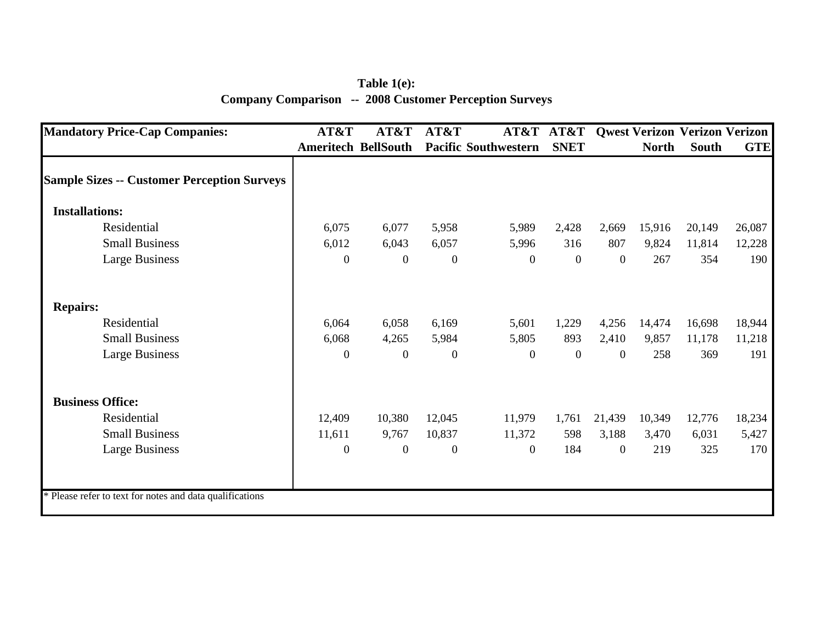**Table 1(e): Company Comparison -- 2008 Customer Perception Surveys**

| <b>Mandatory Price-Cap Companies:</b>                    | AT&T                       | AT&T             | AT&T         | AT&T                        | AT&T         |                  |              | <b>Qwest Verizon Verizon Verizon</b> |            |
|----------------------------------------------------------|----------------------------|------------------|--------------|-----------------------------|--------------|------------------|--------------|--------------------------------------|------------|
|                                                          | <b>Ameritech BellSouth</b> |                  |              | <b>Pacific Southwestern</b> | <b>SNET</b>  |                  | <b>North</b> | South                                | <b>GTE</b> |
| <b>Sample Sizes -- Customer Perception Surveys</b>       |                            |                  |              |                             |              |                  |              |                                      |            |
| <b>Installations:</b>                                    |                            |                  |              |                             |              |                  |              |                                      |            |
| Residential                                              | 6,075                      | 6,077            | 5,958        | 5,989                       | 2,428        | 2,669            | 15,916       | 20,149                               | 26,087     |
| <b>Small Business</b>                                    | 6,012                      | 6,043            | 6,057        | 5,996                       | 316          | 807              | 9,824        | 11,814                               | 12,228     |
| <b>Large Business</b>                                    | $\overline{0}$             | $\overline{0}$   | $\mathbf{0}$ | $\overline{0}$              | $\mathbf{0}$ | $\boldsymbol{0}$ | 267          | 354                                  | 190        |
| <b>Repairs:</b>                                          |                            |                  |              |                             |              |                  |              |                                      |            |
| Residential                                              | 6,064                      | 6,058            | 6,169        | 5,601                       | 1,229        | 4,256            | 14,474       | 16,698                               | 18,944     |
| <b>Small Business</b>                                    | 6,068                      | 4,265            | 5,984        | 5,805                       | 893          | 2,410            | 9,857        | 11,178                               | 11,218     |
| <b>Large Business</b>                                    | $\overline{0}$             | $\overline{0}$   | $\mathbf{0}$ | $\overline{0}$              | $\mathbf{0}$ | $\mathbf{0}$     | 258          | 369                                  | 191        |
| <b>Business Office:</b>                                  |                            |                  |              |                             |              |                  |              |                                      |            |
| Residential                                              | 12,409                     | 10,380           | 12,045       | 11,979                      | 1,761        | 21,439           | 10,349       | 12,776                               | 18,234     |
| <b>Small Business</b>                                    | 11,611                     | 9,767            | 10,837       | 11,372                      | 598          | 3,188            | 3,470        | 6,031                                | 5,427      |
| <b>Large Business</b>                                    | $\boldsymbol{0}$           | $\boldsymbol{0}$ | $\mathbf{0}$ | $\overline{0}$              | 184          | $\mathbf{0}$     | 219          | 325                                  | 170        |
| * Please refer to text for notes and data qualifications |                            |                  |              |                             |              |                  |              |                                      |            |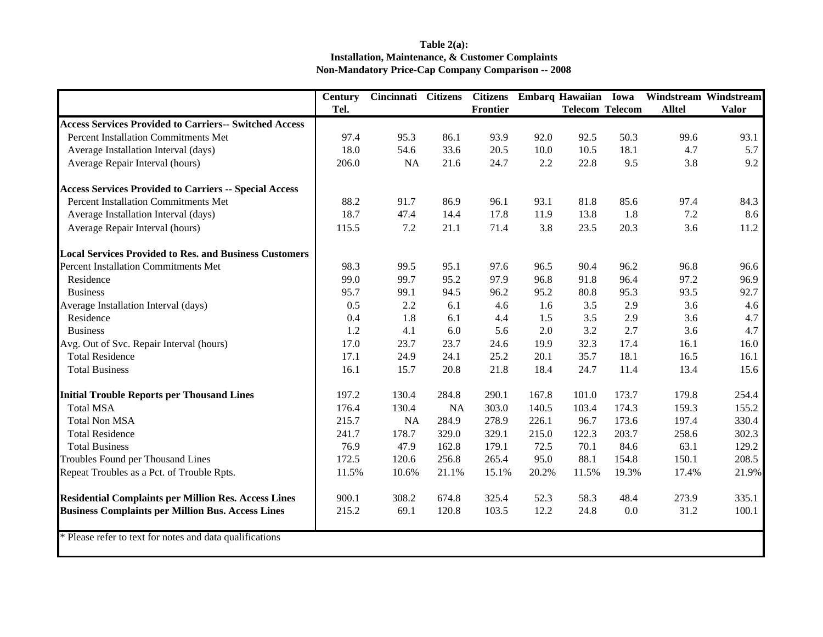## **Table 2(a): Installation, Maintenance, & Customer Complaints Non-Mandatory Price-Cap Company Comparison -- 2008**

|                                                               | <b>Century</b> | Cincinnati Citizens |       | <b>Citizens</b> |       | Embarq Hawaiian Iowa   |       | Windstream Windstream |              |
|---------------------------------------------------------------|----------------|---------------------|-------|-----------------|-------|------------------------|-------|-----------------------|--------------|
|                                                               | Tel.           |                     |       | Frontier        |       | <b>Telecom Telecom</b> |       | <b>Alltel</b>         | <b>Valor</b> |
| <b>Access Services Provided to Carriers-- Switched Access</b> |                |                     |       |                 |       |                        |       |                       |              |
| Percent Installation Commitments Met                          | 97.4           | 95.3                | 86.1  | 93.9            | 92.0  | 92.5                   | 50.3  | 99.6                  | 93.1         |
| Average Installation Interval (days)                          | 18.0           | 54.6                | 33.6  | 20.5            | 10.0  | 10.5                   | 18.1  | 4.7                   | 5.7          |
| Average Repair Interval (hours)                               | 206.0          | <b>NA</b>           | 21.6  | 24.7            | 2.2   | 22.8                   | 9.5   | 3.8                   | 9.2          |
| <b>Access Services Provided to Carriers -- Special Access</b> |                |                     |       |                 |       |                        |       |                       |              |
| Percent Installation Commitments Met                          | 88.2           | 91.7                | 86.9  | 96.1            | 93.1  | 81.8                   | 85.6  | 97.4                  | 84.3         |
| Average Installation Interval (days)                          | 18.7           | 47.4                | 14.4  | 17.8            | 11.9  | 13.8                   | 1.8   | 7.2                   | 8.6          |
| Average Repair Interval (hours)                               | 115.5          | 7.2                 | 21.1  | 71.4            | 3.8   | 23.5                   | 20.3  | 3.6                   | 11.2         |
| <b>Local Services Provided to Res. and Business Customers</b> |                |                     |       |                 |       |                        |       |                       |              |
| <b>Percent Installation Commitments Met</b>                   | 98.3           | 99.5                | 95.1  | 97.6            | 96.5  | 90.4                   | 96.2  | 96.8                  | 96.6         |
| Residence                                                     | 99.0           | 99.7                | 95.2  | 97.9            | 96.8  | 91.8                   | 96.4  | 97.2                  | 96.9         |
| <b>Business</b>                                               | 95.7           | 99.1                | 94.5  | 96.2            | 95.2  | 80.8                   | 95.3  | 93.5                  | 92.7         |
| Average Installation Interval (days)                          | 0.5            | 2.2                 | 6.1   | 4.6             | 1.6   | 3.5                    | 2.9   | 3.6                   | 4.6          |
| Residence                                                     | 0.4            | 1.8                 | 6.1   | 4.4             | 1.5   | 3.5                    | 2.9   | 3.6                   | 4.7          |
| <b>Business</b>                                               | 1.2            | 4.1                 | 6.0   | 5.6             | 2.0   | 3.2                    | 2.7   | 3.6                   | 4.7          |
| Avg. Out of Svc. Repair Interval (hours)                      | 17.0           | 23.7                | 23.7  | 24.6            | 19.9  | 32.3                   | 17.4  | 16.1                  | 16.0         |
| <b>Total Residence</b>                                        | 17.1           | 24.9                | 24.1  | 25.2            | 20.1  | 35.7                   | 18.1  | 16.5                  | 16.1         |
| <b>Total Business</b>                                         | 16.1           | 15.7                | 20.8  | 21.8            | 18.4  | 24.7                   | 11.4  | 13.4                  | 15.6         |
| <b>Initial Trouble Reports per Thousand Lines</b>             | 197.2          | 130.4               | 284.8 | 290.1           | 167.8 | 101.0                  | 173.7 | 179.8                 | 254.4        |
| <b>Total MSA</b>                                              | 176.4          | 130.4               | NA    | 303.0           | 140.5 | 103.4                  | 174.3 | 159.3                 | 155.2        |
| <b>Total Non MSA</b>                                          | 215.7          | <b>NA</b>           | 284.9 | 278.9           | 226.1 | 96.7                   | 173.6 | 197.4                 | 330.4        |
| <b>Total Residence</b>                                        | 241.7          | 178.7               | 329.0 | 329.1           | 215.0 | 122.3                  | 203.7 | 258.6                 | 302.3        |
| <b>Total Business</b>                                         | 76.9           | 47.9                | 162.8 | 179.1           | 72.5  | 70.1                   | 84.6  | 63.1                  | 129.2        |
| Troubles Found per Thousand Lines                             | 172.5          | 120.6               | 256.8 | 265.4           | 95.0  | 88.1                   | 154.8 | 150.1                 | 208.5        |
| Repeat Troubles as a Pct. of Trouble Rpts.                    | 11.5%          | 10.6%               | 21.1% | 15.1%           | 20.2% | 11.5%                  | 19.3% | 17.4%                 | 21.9%        |
| <b>Residential Complaints per Million Res. Access Lines</b>   | 900.1          | 308.2               | 674.8 | 325.4           | 52.3  | 58.3                   | 48.4  | 273.9                 | 335.1        |
| <b>Business Complaints per Million Bus. Access Lines</b>      | 215.2          | 69.1                | 120.8 | 103.5           | 12.2  | 24.8                   | 0.0   | 31.2                  | 100.1        |
| * Please refer to text for notes and data qualifications      |                |                     |       |                 |       |                        |       |                       |              |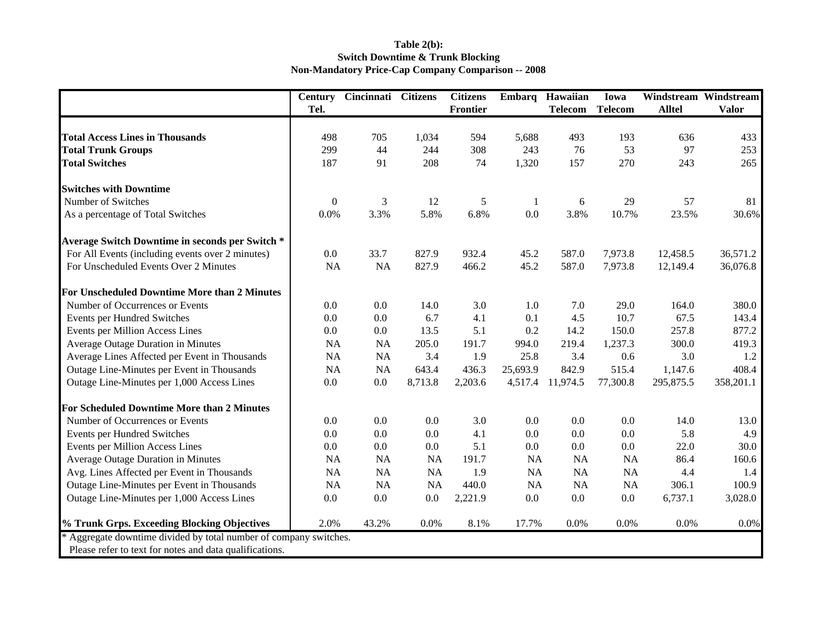## **Table 2(b): Switch Downtime & Trunk Blocking Non-Mandatory Price-Cap Company Comparison -- 2008**

|                                                                 | <b>Century</b>   | Cincinnati | <b>Citizens</b> | <b>Citizens</b> | Embarq    | Hawaiian       | Iowa           | Windstream    | Windstream   |
|-----------------------------------------------------------------|------------------|------------|-----------------|-----------------|-----------|----------------|----------------|---------------|--------------|
|                                                                 | Tel.             |            |                 | <b>Frontier</b> |           | <b>Telecom</b> | <b>Telecom</b> | <b>Alltel</b> | <b>Valor</b> |
|                                                                 |                  |            |                 |                 |           |                |                |               |              |
| <b>Total Access Lines in Thousands</b>                          | 498              | 705        | 1,034           | 594             | 5,688     | 493            | 193            | 636           | 433          |
| <b>Total Trunk Groups</b>                                       | 299              | 44         | 244             | 308             | 243       | 76<br>157      | 53             | 97            | 253          |
| <b>Total Switches</b>                                           | 187              | 91         | 208             | 74              | 1,320     |                | 270            | 243           | 265          |
| <b>Switches with Downtime</b>                                   |                  |            |                 |                 |           |                |                |               |              |
| Number of Switches                                              | $\boldsymbol{0}$ | 3          | 12              | 5               | -1        | 6              | 29             | 57            | 81           |
| As a percentage of Total Switches                               | 0.0%             | 3.3%       | 5.8%            | 6.8%            | 0.0       | 3.8%           | 10.7%          | 23.5%         | 30.6%        |
| Average Switch Downtime in seconds per Switch *                 |                  |            |                 |                 |           |                |                |               |              |
| For All Events (including events over 2 minutes)                | 0.0              | 33.7       | 827.9           | 932.4           | 45.2      | 587.0          | 7,973.8        | 12,458.5      | 36,571.2     |
| For Unscheduled Events Over 2 Minutes                           | <b>NA</b>        | <b>NA</b>  | 827.9           | 466.2           | 45.2      | 587.0          | 7,973.8        | 12,149.4      | 36,076.8     |
| For Unscheduled Downtime More than 2 Minutes                    |                  |            |                 |                 |           |                |                |               |              |
| Number of Occurrences or Events                                 | 0.0              | 0.0        | 14.0            | 3.0             | 1.0       | 7.0            | 29.0           | 164.0         | 380.0        |
| <b>Events per Hundred Switches</b>                              | 0.0              | 0.0        | 6.7             | 4.1             | 0.1       | 4.5            | 10.7           | 67.5          | 143.4        |
| Events per Million Access Lines                                 | 0.0              | 0.0        | 13.5            | 5.1             | 0.2       | 14.2           | 150.0          | 257.8         | 877.2        |
| Average Outage Duration in Minutes                              | <b>NA</b>        | <b>NA</b>  | 205.0           | 191.7           | 994.0     | 219.4          | 1,237.3        | 300.0         | 419.3        |
| Average Lines Affected per Event in Thousands                   | <b>NA</b>        | <b>NA</b>  | 3.4             | 1.9             | 25.8      | 3.4            | 0.6            | 3.0           | 1.2          |
| Outage Line-Minutes per Event in Thousands                      | <b>NA</b>        | NA         | 643.4           | 436.3           | 25,693.9  | 842.9          | 515.4          | 1,147.6       | 408.4        |
| Outage Line-Minutes per 1,000 Access Lines                      | 0.0              | 0.0        | 8,713.8         | 2,203.6         | 4,517.4   | 11,974.5       | 77,300.8       | 295,875.5     | 358,201.1    |
| For Scheduled Downtime More than 2 Minutes                      |                  |            |                 |                 |           |                |                |               |              |
| Number of Occurrences or Events                                 | 0.0              | 0.0        | 0.0             | 3.0             | 0.0       | 0.0            | 0.0            | 14.0          | 13.0         |
| Events per Hundred Switches                                     | 0.0              | 0.0        | 0.0             | 4.1             | 0.0       | 0.0            | 0.0            | 5.8           | 4.9          |
| Events per Million Access Lines                                 | 0.0              | $0.0\,$    | 0.0             | 5.1             | 0.0       | 0.0            | 0.0            | 22.0          | 30.0         |
| Average Outage Duration in Minutes                              | <b>NA</b>        | <b>NA</b>  | <b>NA</b>       | 191.7           | <b>NA</b> | NA             | <b>NA</b>      | 86.4          | 160.6        |
| Avg. Lines Affected per Event in Thousands                      | <b>NA</b>        | <b>NA</b>  | NA              | 1.9             | <b>NA</b> | NA             | NA             | 4.4           | 1.4          |
| Outage Line-Minutes per Event in Thousands                      | <b>NA</b>        | <b>NA</b>  | NA              | 440.0           | <b>NA</b> | NA             | NA             | 306.1         | 100.9        |
| Outage Line-Minutes per 1,000 Access Lines                      | 0.0              | 0.0        | 0.0             | 2,221.9         | 0.0       | 0.0            | 0.0            | 6,737.1       | 3,028.0      |
| % Trunk Grps. Exceeding Blocking Objectives                     | 2.0%             | 43.2%      | 0.0%            | 8.1%            | 17.7%     | 0.0%           | 0.0%           | 0.0%          | 0.0%         |
| Aggregate downtime divided by total number of company switches. |                  |            |                 |                 |           |                |                |               |              |
| Please refer to text for notes and data qualifications.         |                  |            |                 |                 |           |                |                |               |              |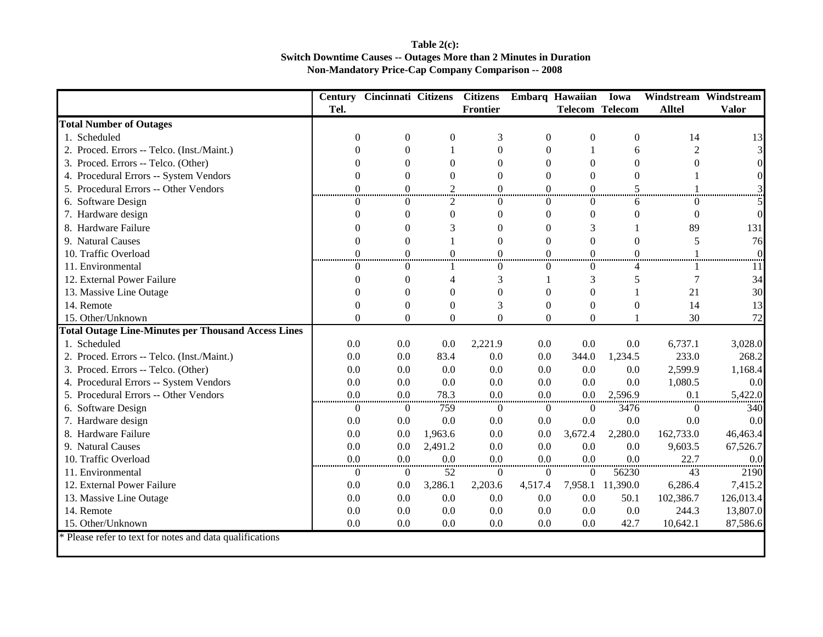## **Table 2(c): Switch Downtime Causes -- Outages More than 2 Minutes in Duration Non-Mandatory Price-Cap Company Comparison -- 2008**

|                                                            |                  | <b>Century Cincinnati Citizens</b> |                | <b>Citizens</b> |                | Embarq Hawaiian        | Iowa             | Windstream Windstream |           |
|------------------------------------------------------------|------------------|------------------------------------|----------------|-----------------|----------------|------------------------|------------------|-----------------------|-----------|
|                                                            | Tel.             |                                    |                | Frontier        |                | <b>Telecom Telecom</b> |                  | <b>Alltel</b>         | Valor     |
| <b>Total Number of Outages</b>                             |                  |                                    |                |                 |                |                        |                  |                       |           |
| 1. Scheduled                                               | $\theta$         | $\theta$                           | $\theta$       | 3               | $\overline{0}$ | $\boldsymbol{0}$       | $\overline{0}$   | 14                    | 13        |
| 2. Proced. Errors -- Telco. (Inst./Maint.)                 | $\theta$         | $\theta$                           |                | $\Omega$        | $\theta$       |                        | 6                | $\overline{2}$        |           |
| 3. Proced. Errors -- Telco. (Other)                        | $\Omega$         | $\Omega$                           | $\theta$       | $\Omega$        | $\theta$       | $\Omega$               | $\theta$         | $\theta$              |           |
| 4. Procedural Errors -- System Vendors                     | $\Omega$         | $\Omega$                           | $\theta$       | $\Omega$        | $\theta$       | $\Omega$               | $\Omega$         |                       |           |
| 5. Procedural Errors -- Other Vendors                      | $\Omega$         | 0                                  | $\overline{2}$ | $\Omega$        | $\theta$       | $\Omega$               | 5                |                       |           |
| 6. Software Design                                         | 0                | $^{\circ}$                         | $\overline{2}$ | $\Omega$        | $\Omega$       | 0                      | 6                | $\mathbf{\Omega}$     |           |
| 7. Hardware design                                         | $\Omega$         | $\Omega$                           | $\mathbf{0}$   | $\Omega$        | $\Omega$       | $\mathbf{0}$           | $\theta$         | $\theta$              |           |
| 8. Hardware Failure                                        | 0                | $\Omega$                           | 3              | $\Omega$        | $\theta$       | 3                      |                  | 89                    | 131       |
| 9. Natural Causes                                          | $\Omega$         | $\Omega$                           |                | $\Omega$        | $\theta$       | $\Omega$               | $\theta$         | 5                     | 76        |
| 10. Traffic Overload                                       | $\theta$<br><br> | $\Omega$<br>                       | $\Omega$<br>   | $\Omega$        | $\Omega$       | $\Omega$<br>           | $\Omega$<br>     |                       |           |
| 11. Environmental                                          | $\Omega$         | $\theta$                           |                | $\Omega$        | $\theta$       | $\Omega$               | 4                |                       |           |
| 12. External Power Failure                                 | $\Omega$         | $\Omega$                           | 4              | 3               |                | 3                      | 5                | 7                     | 34        |
| 13. Massive Line Outage                                    |                  | $\Omega$                           | $\Omega$       | $\Omega$        | $\theta$       | $\Omega$               |                  | 21                    | 30        |
| 14. Remote                                                 | $\Omega$         | $\Omega$                           | $\theta$       | 3               | $\theta$       | $\overline{0}$         | $\theta$         | 14                    | 13        |
| 15. Other/Unknown                                          | $\theta$         | $\Omega$                           | $\Omega$       | $\Omega$        | $\theta$       | $\Omega$               |                  | 30                    | 72        |
| <b>Total Outage Line-Minutes per Thousand Access Lines</b> |                  |                                    |                |                 |                |                        |                  |                       |           |
| 1. Scheduled                                               | 0.0              | 0.0                                | 0.0            | 2,221.9         | 0.0            | 0.0                    | 0.0              | 6,737.1               | 3,028.0   |
| 2. Proced. Errors -- Telco. (Inst./Maint.)                 | 0.0              | 0.0                                | 83.4           | 0.0             | 0.0            | 344.0                  | 1,234.5          | 233.0                 | 268.2     |
| 3. Proced. Errors -- Telco. (Other)                        | 0.0              | 0.0                                | 0.0            | 0.0             | 0.0            | 0.0                    | 0.0              | 2,599.9               | 1,168.4   |
| 4. Procedural Errors -- System Vendors                     | 0.0              | 0.0                                | 0.0            | 0.0             | 0.0            | 0.0                    | 0.0              | 1,080.5               | 0.0       |
| 5. Procedural Errors -- Other Vendors                      | 0.0              | 0.0                                | 78.3           | 0.0             | 0.0            | 0.0                    | 2,596.9          | 0.1                   | 5,422.0   |
| 6. Software Design                                         | $\theta$         | $\Omega$                           | 759            | $\theta$        | $\overline{0}$ | $\overline{0}$         | 3476             | $\theta$              | 340       |
| 7. Hardware design                                         | 0.0              | 0.0                                | 0.0            | 0.0             | 0.0            | 0.0                    | 0.0              | 0.0                   | 0.0       |
| 8. Hardware Failure                                        | 0.0              | 0.0                                | 1,963.6        | 0.0             | 0.0            | 3,672.4                | 2,280.0          | 162,733.0             | 46,463.4  |
| 9. Natural Causes                                          | 0.0              | 0.0                                | 2,491.2        | 0.0             | 0.0            | 0.0                    | 0.0              | 9,603.5               | 67,526.7  |
| 10. Traffic Overload                                       | 0.0              | 0.0                                | 0.0            | 0.0             | 0.0            | 0.0                    | 0.0              | 22.7                  | 0.0       |
| 11. Environmental                                          | $\overline{0}$   | $\overline{0}$                     | 52             | $\overline{0}$  | $\theta$       | $\overline{0}$         | 56230            | 43                    | 2190      |
| 12. External Power Failure                                 | 0.0              | 0.0                                | 3,286.1        | 2,203.6         | 4,517.4        |                        | 7,958.1 11,390.0 | 6,286.4               | 7,415.2   |
| 13. Massive Line Outage                                    | 0.0              | 0.0                                | 0.0            | 0.0             | 0.0            | 0.0                    | 50.1             | 102,386.7             | 126,013.4 |
| 14. Remote                                                 | 0.0              | 0.0                                | 0.0            | 0.0             | 0.0            | 0.0                    | 0.0              | 244.3                 | 13,807.0  |
| 15. Other/Unknown                                          | 0.0              | 0.0                                | 0.0            | 0.0             | 0.0            | 0.0                    | 42.7             | 10,642.1              | 87,586.6  |
| * Please refer to text for notes and data qualifications   |                  |                                    |                |                 |                |                        |                  |                       |           |
|                                                            |                  |                                    |                |                 |                |                        |                  |                       |           |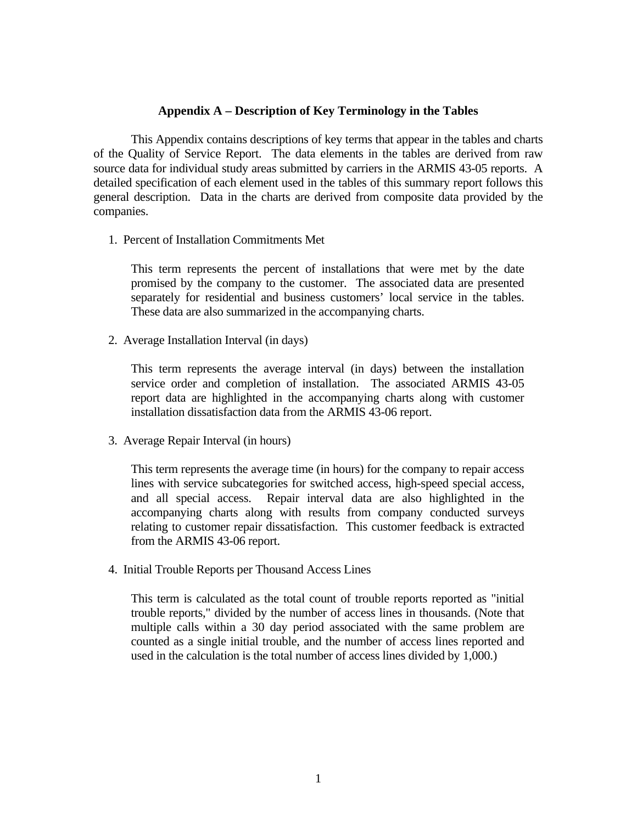## **Appendix A – Description of Key Terminology in the Tables**

 This Appendix contains descriptions of key terms that appear in the tables and charts of the Quality of Service Report. The data elements in the tables are derived from raw source data for individual study areas submitted by carriers in the ARMIS 43-05 reports. A detailed specification of each element used in the tables of this summary report follows this general description. Data in the charts are derived from composite data provided by the companies.

1. Percent of Installation Commitments Met

 This term represents the percent of installations that were met by the date promised by the company to the customer. The associated data are presented separately for residential and business customers' local service in the tables. These data are also summarized in the accompanying charts.

2. Average Installation Interval (in days)

This term represents the average interval (in days) between the installation service order and completion of installation. The associated ARMIS 43-05 report data are highlighted in the accompanying charts along with customer installation dissatisfaction data from the ARMIS 43-06 report.

3. Average Repair Interval (in hours)

 This term represents the average time (in hours) for the company to repair access lines with service subcategories for switched access, high-speed special access, and all special access. Repair interval data are also highlighted in the accompanying charts along with results from company conducted surveys relating to customer repair dissatisfaction. This customer feedback is extracted from the ARMIS 43-06 report.

4. Initial Trouble Reports per Thousand Access Lines

 This term is calculated as the total count of trouble reports reported as "initial trouble reports," divided by the number of access lines in thousands. (Note that multiple calls within a 30 day period associated with the same problem are counted as a single initial trouble, and the number of access lines reported and used in the calculation is the total number of access lines divided by 1,000.)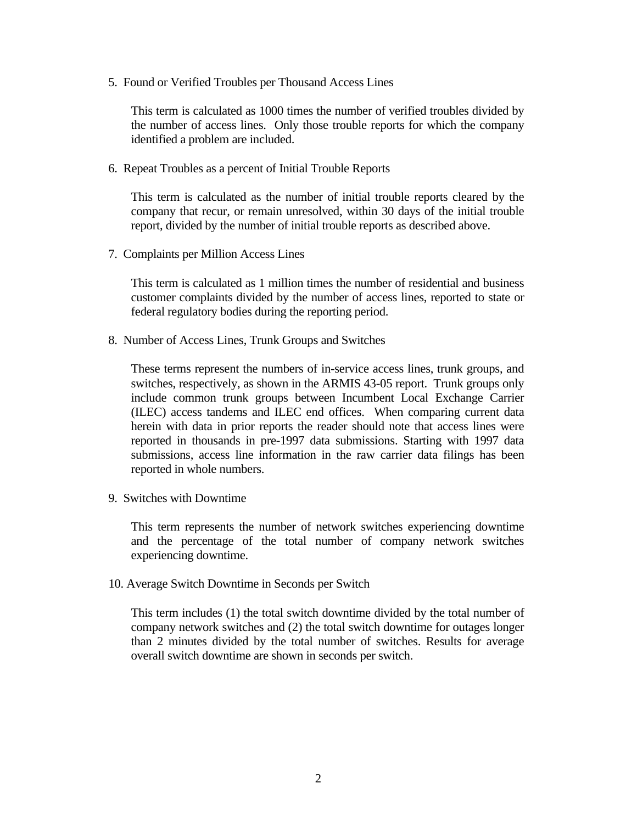5. Found or Verified Troubles per Thousand Access Lines

 This term is calculated as 1000 times the number of verified troubles divided by the number of access lines. Only those trouble reports for which the company identified a problem are included.

6. Repeat Troubles as a percent of Initial Trouble Reports

 This term is calculated as the number of initial trouble reports cleared by the company that recur, or remain unresolved, within 30 days of the initial trouble report, divided by the number of initial trouble reports as described above.

7. Complaints per Million Access Lines

 This term is calculated as 1 million times the number of residential and business customer complaints divided by the number of access lines, reported to state or federal regulatory bodies during the reporting period.

8. Number of Access Lines, Trunk Groups and Switches

 These terms represent the numbers of in-service access lines, trunk groups, and switches, respectively, as shown in the ARMIS 43-05 report. Trunk groups only include common trunk groups between Incumbent Local Exchange Carrier (ILEC) access tandems and ILEC end offices. When comparing current data herein with data in prior reports the reader should note that access lines were reported in thousands in pre-1997 data submissions. Starting with 1997 data submissions, access line information in the raw carrier data filings has been reported in whole numbers.

9. Switches with Downtime

 This term represents the number of network switches experiencing downtime and the percentage of the total number of company network switches experiencing downtime.

10. Average Switch Downtime in Seconds per Switch

 This term includes (1) the total switch downtime divided by the total number of company network switches and (2) the total switch downtime for outages longer than 2 minutes divided by the total number of switches. Results for average overall switch downtime are shown in seconds per switch.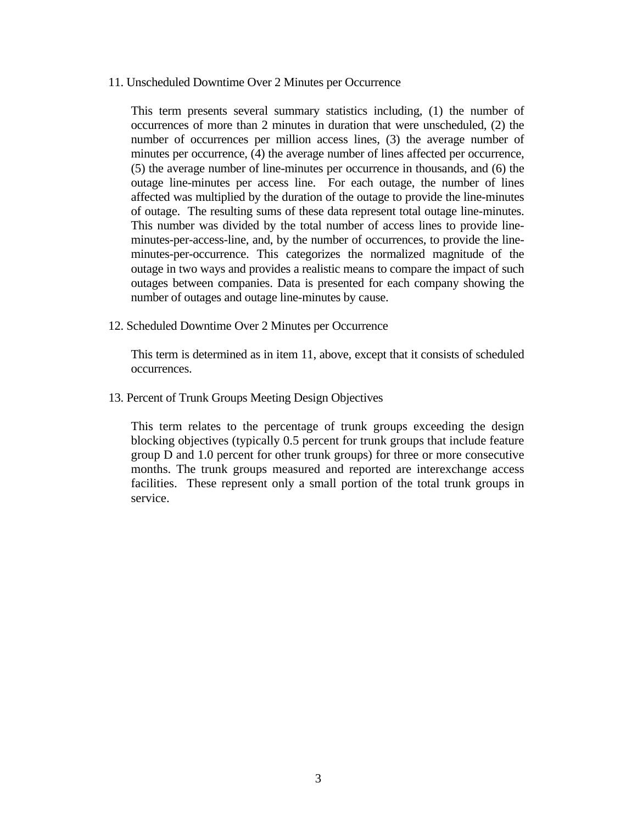11. Unscheduled Downtime Over 2 Minutes per Occurrence

 This term presents several summary statistics including, (1) the number of occurrences of more than 2 minutes in duration that were unscheduled, (2) the number of occurrences per million access lines, (3) the average number of minutes per occurrence, (4) the average number of lines affected per occurrence, (5) the average number of line-minutes per occurrence in thousands, and (6) the outage line-minutes per access line. For each outage, the number of lines affected was multiplied by the duration of the outage to provide the line-minutes of outage. The resulting sums of these data represent total outage line-minutes. This number was divided by the total number of access lines to provide lineminutes-per-access-line, and, by the number of occurrences, to provide the lineminutes-per-occurrence. This categorizes the normalized magnitude of the outage in two ways and provides a realistic means to compare the impact of such outages between companies. Data is presented for each company showing the number of outages and outage line-minutes by cause.

12. Scheduled Downtime Over 2 Minutes per Occurrence

 This term is determined as in item 11, above, except that it consists of scheduled occurrences.

13. Percent of Trunk Groups Meeting Design Objectives

 This term relates to the percentage of trunk groups exceeding the design blocking objectives (typically 0.5 percent for trunk groups that include feature group D and 1.0 percent for other trunk groups) for three or more consecutive months. The trunk groups measured and reported are interexchange access facilities. These represent only a small portion of the total trunk groups in service.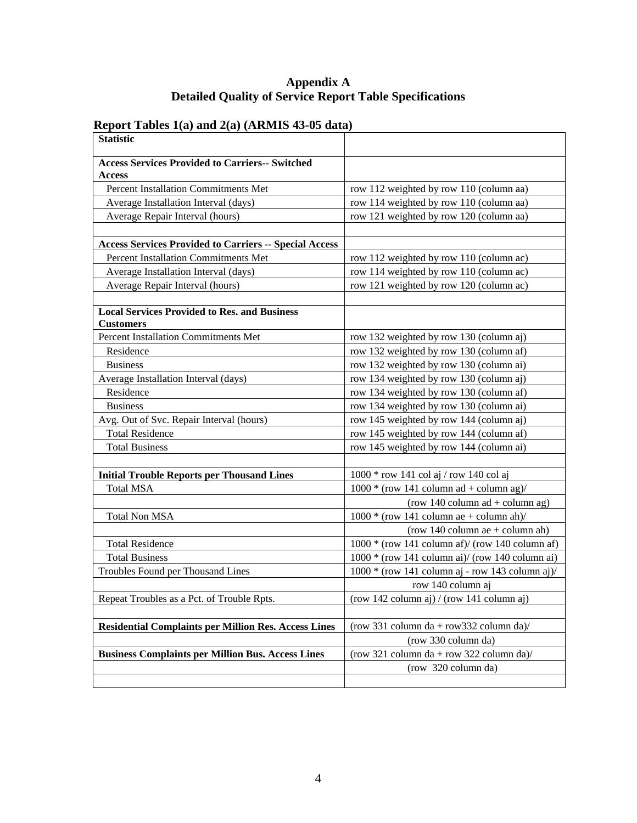## **Report Tables 1(a) and 2(a) (ARMIS 43-05 data)**

| <b>Statistic</b>                                                        |                                                    |
|-------------------------------------------------------------------------|----------------------------------------------------|
| <b>Access Services Provided to Carriers-- Switched</b>                  |                                                    |
| <b>Access</b>                                                           |                                                    |
| Percent Installation Commitments Met                                    | row 112 weighted by row 110 (column aa)            |
| Average Installation Interval (days)                                    | row 114 weighted by row 110 (column aa)            |
| Average Repair Interval (hours)                                         | row 121 weighted by row 120 (column aa)            |
|                                                                         |                                                    |
| <b>Access Services Provided to Carriers -- Special Access</b>           |                                                    |
| <b>Percent Installation Commitments Met</b>                             | row 112 weighted by row 110 (column ac)            |
| Average Installation Interval (days)                                    | row 114 weighted by row 110 (column ac)            |
| Average Repair Interval (hours)                                         | row 121 weighted by row 120 (column ac)            |
|                                                                         |                                                    |
| <b>Local Services Provided to Res. and Business</b><br><b>Customers</b> |                                                    |
| Percent Installation Commitments Met                                    | row 132 weighted by row 130 (column aj)            |
| Residence                                                               | row 132 weighted by row 130 (column af)            |
| <b>Business</b>                                                         | row 132 weighted by row 130 (column ai)            |
| Average Installation Interval (days)                                    | row 134 weighted by row 130 (column aj)            |
| Residence                                                               | row 134 weighted by row 130 (column af)            |
| <b>Business</b>                                                         | row 134 weighted by row 130 (column ai)            |
| Avg. Out of Svc. Repair Interval (hours)                                | row 145 weighted by row 144 (column aj)            |
| <b>Total Residence</b>                                                  | row 145 weighted by row 144 (column af)            |
| <b>Total Business</b>                                                   | row 145 weighted by row 144 (column ai)            |
|                                                                         |                                                    |
| <b>Initial Trouble Reports per Thousand Lines</b>                       | $1000 * row 141 col aj / row 140 col aj$           |
| <b>Total MSA</b>                                                        | $1000 * (row 141 column ad + column ag)$           |
|                                                                         | (row 140 column $ad + column$ ag)                  |
| <b>Total Non MSA</b>                                                    | $1000 * (row 141 column ae + column ah)$           |
|                                                                         | (row 140 column ae $+$ column ah)                  |
| <b>Total Residence</b>                                                  | $1000 * (row 141 column af)/(row 140 column af)$   |
| <b>Total Business</b>                                                   | $1000 * (row 141 column ai) / (row 140 column ai)$ |
| Troubles Found per Thousand Lines                                       | 1000 * (row 141 column aj - row 143 column aj)/    |
|                                                                         | row 140 column aj                                  |
| Repeat Troubles as a Pct. of Trouble Rpts.                              | $(row 142 column ai) / (row 141 column ai)$        |
|                                                                         |                                                    |
| <b>Residential Complaints per Million Res. Access Lines</b>             | (row 331 column da + row 332 column da)/           |
|                                                                         | (row 330 column da)                                |
| <b>Business Complaints per Million Bus. Access Lines</b>                | (row 321 column da + row 322 column da)/           |
|                                                                         | (row 320 column da)                                |
|                                                                         |                                                    |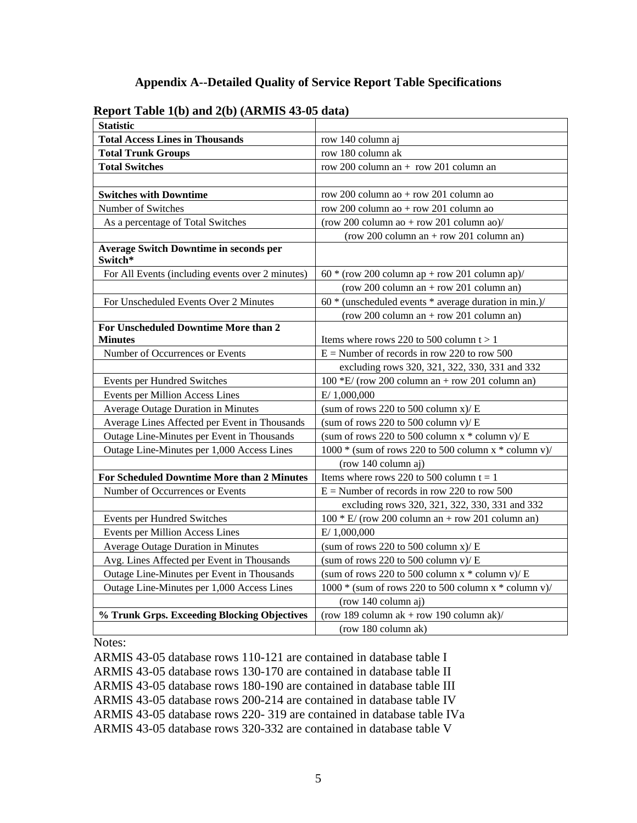| $100 - 100 = 100$<br><b>Statistic</b>                    |                                                           |
|----------------------------------------------------------|-----------------------------------------------------------|
| <b>Total Access Lines in Thousands</b>                   | row 140 column aj                                         |
| <b>Total Trunk Groups</b>                                | row 180 column ak                                         |
| <b>Total Switches</b>                                    | row 200 column an $+$ row 201 column an                   |
|                                                          |                                                           |
| <b>Switches with Downtime</b>                            | row 200 column ao + row 201 column ao                     |
| Number of Switches                                       | row 200 column ao + row 201 column ao                     |
| As a percentage of Total Switches                        | (row 200 column ao + row 201 column ao)/                  |
|                                                          | $(row 200 column an + row 201 column an)$                 |
| <b>Average Switch Downtime in seconds per</b><br>Switch* |                                                           |
| For All Events (including events over 2 minutes)         | $60 * (row 200 column ap + row 201 column ap)$            |
|                                                          | $(row 200 column an + row 201 column an)$                 |
| For Unscheduled Events Over 2 Minutes                    | $60 *$ (unscheduled events $*$ average duration in min.)/ |
|                                                          | $(row 200 column an + row 201 column an)$                 |
| For Unscheduled Downtime More than 2                     |                                                           |
| <b>Minutes</b>                                           | Items where rows 220 to 500 column $t > 1$                |
| Number of Occurrences or Events                          | $E =$ Number of records in row 220 to row 500             |
|                                                          | excluding rows 320, 321, 322, 330, 331 and 332            |
| Events per Hundred Switches                              | $100$ *E/ (row 200 column an + row 201 column an)         |
| Events per Million Access Lines                          | E/1,000,000                                               |
| <b>Average Outage Duration in Minutes</b>                | (sum of rows 220 to 500 column $x$ )/ E                   |
| Average Lines Affected per Event in Thousands            | (sum of rows 220 to 500 column v)/ $E$                    |
| Outage Line-Minutes per Event in Thousands               | (sum of rows 220 to 500 column $x *$ column v)/ E         |
| Outage Line-Minutes per 1,000 Access Lines               | 1000 * (sum of rows 220 to 500 column x * column v)/      |
|                                                          | (row 140 column aj)                                       |
| For Scheduled Downtime More than 2 Minutes               | Items where rows 220 to 500 column $t = 1$                |
| Number of Occurrences or Events                          | $E =$ Number of records in row 220 to row 500             |
|                                                          | excluding rows 320, 321, 322, 330, 331 and 332            |
| Events per Hundred Switches                              | $100 * E$ / (row 200 column an + row 201 column an)       |
| Events per Million Access Lines                          | E/ 1,000,000                                              |
| Average Outage Duration in Minutes                       | (sum of rows 220 to 500 column $x$ )/ E                   |
| Avg. Lines Affected per Event in Thousands               | (sum of rows 220 to 500 column v)/ $E$                    |
| Outage Line-Minutes per Event in Thousands               | (sum of rows 220 to 500 column $x *$ column v)/ E         |
| Outage Line-Minutes per 1,000 Access Lines               | 1000 * (sum of rows 220 to 500 column x * column v)/      |
|                                                          | (row 140 column aj)                                       |
| % Trunk Grps. Exceeding Blocking Objectives              | (row 189 column $ak + row 190$ column $ak$ )/             |
|                                                          | (row 180 column ak)                                       |

## **Report Table 1(b) and 2(b) (ARMIS 43-05 data)**

Notes:

ARMIS 43-05 database rows 110-121 are contained in database table I ARMIS 43-05 database rows 130-170 are contained in database table II ARMIS 43-05 database rows 180-190 are contained in database table III ARMIS 43-05 database rows 200-214 are contained in database table IV ARMIS 43-05 database rows 220- 319 are contained in database table IVa ARMIS 43-05 database rows 320-332 are contained in database table V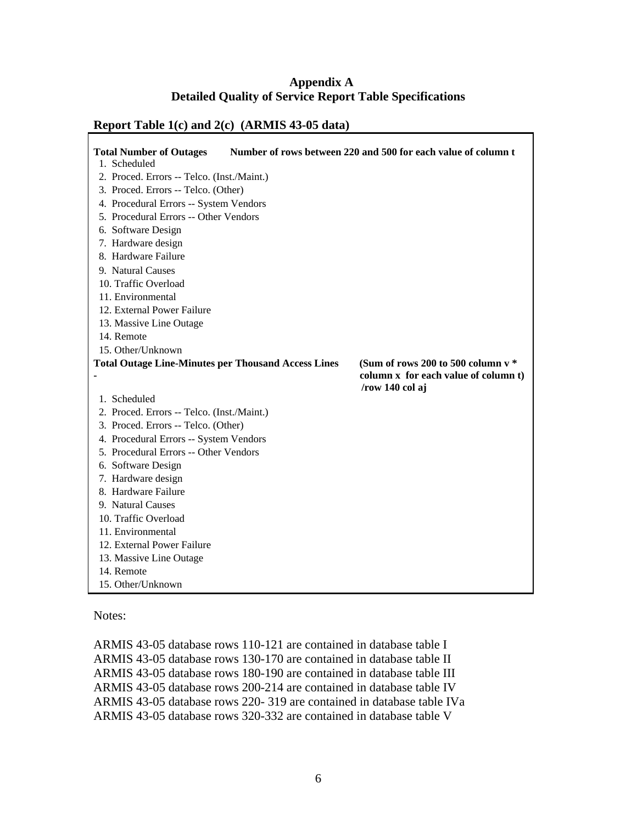| <b>Total Number of Outages</b>                             | Number of rows between 220 and 500 for each value of column t |
|------------------------------------------------------------|---------------------------------------------------------------|
| 1. Scheduled                                               |                                                               |
| 2. Proced. Errors -- Telco. (Inst./Maint.)                 |                                                               |
| 3. Proced. Errors -- Telco. (Other)                        |                                                               |
| 4. Procedural Errors -- System Vendors                     |                                                               |
| 5. Procedural Errors -- Other Vendors                      |                                                               |
| 6. Software Design                                         |                                                               |
| 7. Hardware design                                         |                                                               |
| 8. Hardware Failure                                        |                                                               |
| 9. Natural Causes                                          |                                                               |
| 10. Traffic Overload                                       |                                                               |
| 11. Environmental                                          |                                                               |
| 12. External Power Failure                                 |                                                               |
| 13. Massive Line Outage                                    |                                                               |
| 14. Remote                                                 |                                                               |
| 15. Other/Unknown                                          |                                                               |
| <b>Total Outage Line-Minutes per Thousand Access Lines</b> | (Sum of rows 200 to 500 column $v^*$                          |
|                                                            | column x for each value of column t)                          |
|                                                            | /row 140 col aj                                               |
| 1. Scheduled                                               |                                                               |
| 2. Proced. Errors -- Telco. (Inst./Maint.)                 |                                                               |
| 3. Proced. Errors -- Telco. (Other)                        |                                                               |
| 4. Procedural Errors -- System Vendors                     |                                                               |
| 5. Procedural Errors -- Other Vendors                      |                                                               |
| 6. Software Design                                         |                                                               |
| 7. Hardware design                                         |                                                               |
| 8. Hardware Failure                                        |                                                               |
| 9. Natural Causes                                          |                                                               |
| 10. Traffic Overload                                       |                                                               |
| 11. Environmental                                          |                                                               |
| 12. External Power Failure                                 |                                                               |
| 13. Massive Line Outage                                    |                                                               |
| 14. Remote                                                 |                                                               |
| 15. Other/Unknown                                          |                                                               |

## **Report Table 1(c) and 2(c) (ARMIS 43-05 data)**

Notes:

ARMIS 43-05 database rows 110-121 are contained in database table I ARMIS 43-05 database rows 130-170 are contained in database table II ARMIS 43-05 database rows 180-190 are contained in database table III ARMIS 43-05 database rows 200-214 are contained in database table IV ARMIS 43-05 database rows 220- 319 are contained in database table IVa ARMIS 43-05 database rows 320-332 are contained in database table V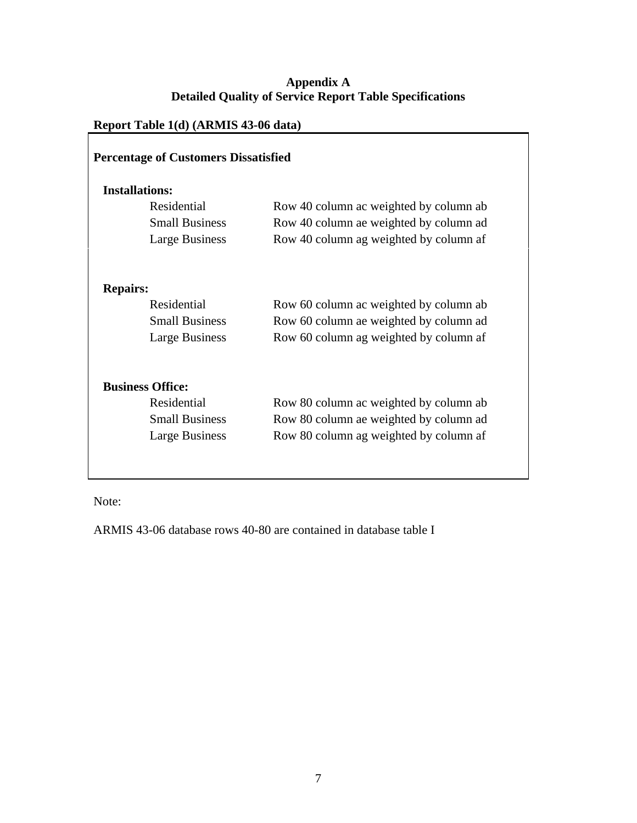## **Report Table 1(d) (ARMIS 43-06 data)**

| <b>Installations:</b>   |                                        |
|-------------------------|----------------------------------------|
| Residential             | Row 40 column ac weighted by column ab |
| <b>Small Business</b>   | Row 40 column ae weighted by column ad |
| Large Business          | Row 40 column ag weighted by column af |
| <b>Repairs:</b>         |                                        |
| Residential             | Row 60 column ac weighted by column ab |
| <b>Small Business</b>   | Row 60 column ae weighted by column ad |
| Large Business          | Row 60 column ag weighted by column af |
| <b>Business Office:</b> |                                        |
| Residential             | Row 80 column ac weighted by column ab |
| <b>Small Business</b>   | Row 80 column ae weighted by column ad |
| Large Business          | Row 80 column ag weighted by column af |

Note:

ARMIS 43-06 database rows 40-80 are contained in database table I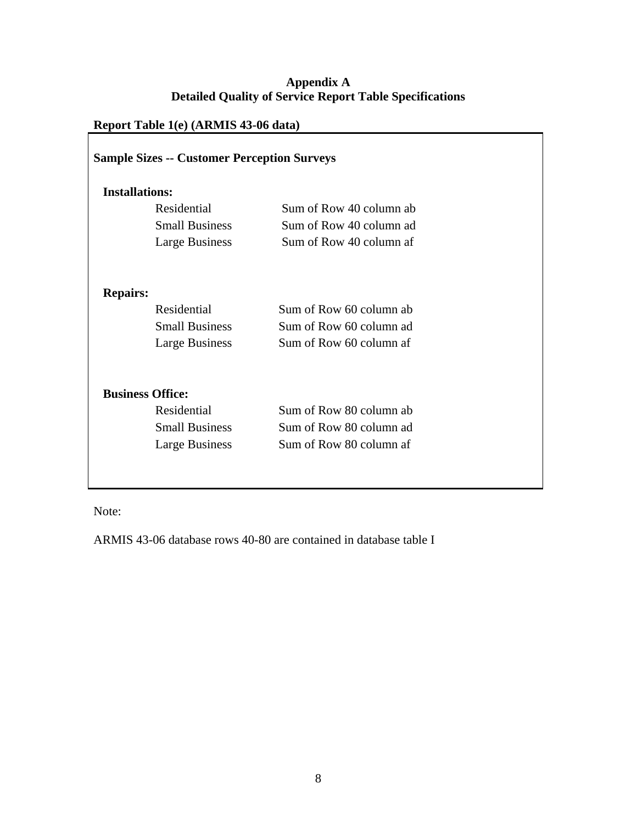## **Report Table 1(e) (ARMIS 43-06 data)**

| <b>Installations:</b>   |                         |  |  |  |  |
|-------------------------|-------------------------|--|--|--|--|
| Residential             | Sum of Row 40 column ab |  |  |  |  |
| <b>Small Business</b>   | Sum of Row 40 column ad |  |  |  |  |
| <b>Large Business</b>   | Sum of Row 40 column af |  |  |  |  |
| <b>Repairs:</b>         |                         |  |  |  |  |
| Residential             | Sum of Row 60 column ab |  |  |  |  |
| <b>Small Business</b>   | Sum of Row 60 column ad |  |  |  |  |
| Large Business          | Sum of Row 60 column af |  |  |  |  |
| <b>Business Office:</b> |                         |  |  |  |  |
| Residential             | Sum of Row 80 column ab |  |  |  |  |
| <b>Small Business</b>   | Sum of Row 80 column ad |  |  |  |  |
| Large Business          | Sum of Row 80 column af |  |  |  |  |

Note:

ARMIS 43-06 database rows 40-80 are contained in database table I